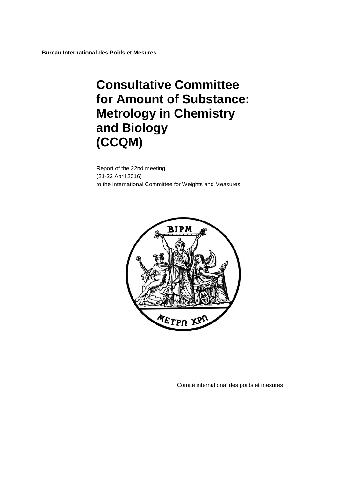**Bureau International des Poids et Mesures**

# **Consultative Committee for Amount of Substance: Metrology in Chemistry and Biology (CCQM)**

Report of the 22nd meeting (21-22 April 2016) to the International Committee for Weights and Measures



Comité international des poids et mesures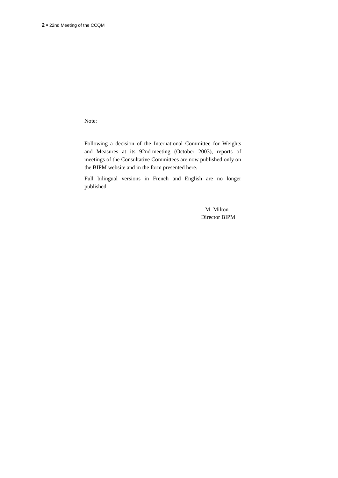Note:

Following a decision of the International Committee for Weights and Measures at its 92nd meeting (October 2003), reports of meetings of the Consultative Committees are now published only on the BIPM website and in the form presented here.

Full bilingual versions in French and English are no longer published.

> M. Milton Director BIPM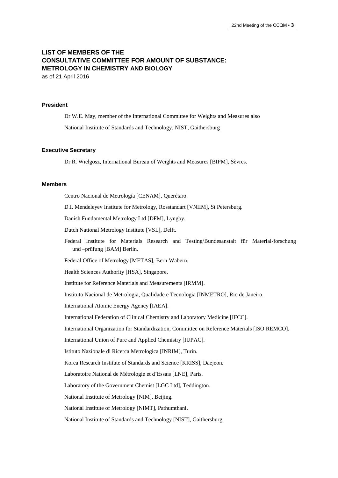# **LIST OF MEMBERS OF THE CONSULTATIVE COMMITTEE FOR AMOUNT OF SUBSTANCE: METROLOGY IN CHEMISTRY AND BIOLOGY** as of 21 April 2016

#### **President**

Dr W.E. May, member of the International Committee for Weights and Measures also National Institute of Standards and Technology, NIST, Gaithersburg

#### **Executive Secretary**

Dr R. Wielgosz, International Bureau of Weights and Measures [BIPM], Sèvres.

#### **Members**

Centro Nacional de Metrología [CENAM], Querétaro.

D.I. Mendeleyev Institute for Metrology, Rosstandart [VNIIM], St Petersburg.

Danish Fundamental Metrology Ltd [DFM], Lyngby.

Dutch National Metrology Institute [VSL], Delft.

Federal Institute for Materials Research and Testing/Bundesanstalt für Material-forschung und –prüfung [BAM] Berlin.

Federal Office of Metrology [METAS], Bern-Wabern.

Health Sciences Authority [HSA], Singapore.

Institute for Reference Materials and Measurements [IRMM].

Instituto Nacional de Metrologia, Qualidade e Tecnologia [INMETRO], Rio de Janeiro.

International Atomic Energy Agency [IAEA].

International Federation of Clinical Chemistry and Laboratory Medicine [IFCC].

International Organization for Standardization, Committee on Reference Materials [ISO REMCO].

International Union of Pure and Applied Chemistry [IUPAC].

Istituto Nazionale di Ricerca Metrologica [INRIM], Turin.

Korea Research Institute of Standards and Science [KRISS], Daejeon.

Laboratoire National de Métrologie et d'Essais [LNE], Paris.

Laboratory of the Government Chemist [LGC Ltd], Teddington.

National Institute of Metrology [NIM], Beijing.

National Institute of Metrology [NIMT], Pathumthani.

National Institute of Standards and Technology [NIST], Gaithersburg.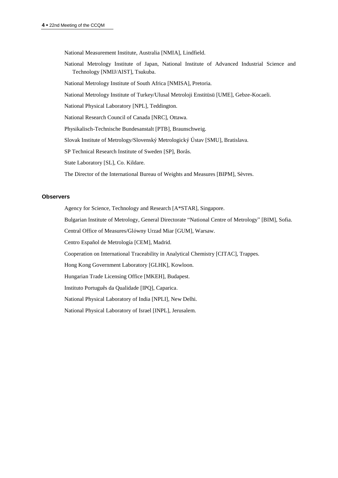National Measurement Institute, Australia [NMIA], Lindfield.

National Metrology Institute of Japan, National Institute of Advanced Industrial Science and Technology [NMIJ/AIST], Tsukuba.

National Metrology Institute of South Africa [NMISA], Pretoria.

National Metrology Institute of Turkey/Ulusal Metroloji Enstitüsü [UME], Gebze-Kocaeli.

National Physical Laboratory [NPL], Teddington.

National Research Council of Canada [NRC], Ottawa.

Physikalisch-Technische Bundesanstalt [PTB], Braunschweig.

Slovak Institute of Metrology/Slovenský Metrologický Ústav [SMU], Bratislava.

SP Technical Research Institute of Sweden [SP], Borås.

State Laboratory [SL], Co. Kildare.

The Director of the International Bureau of Weights and Measures [BIPM], Sèvres.

# **Observers**

Agency for Science, Technology and Research [A\*STAR], Singapore.

Bulgarian Institute of Metrology, General Directorate "National Centre of Metrology" [BIM], Sofia.

Central Office of Measures/Glόwny Urzad Miar [GUM], Warsaw.

Centro Español de Metrología [CEM], Madrid.

Cooperation on International Traceability in Analytical Chemistry [CITAC], Trappes.

Hong Kong Government Laboratory [GLHK], Kowloon.

Hungarian Trade Licensing Office [MKEH], Budapest.

Instituto Português da Qualidade [IPQ], Caparica.

National Physical Laboratory of India [NPLI], New Delhi.

National Physical Laboratory of Israel [INPL], Jerusalem.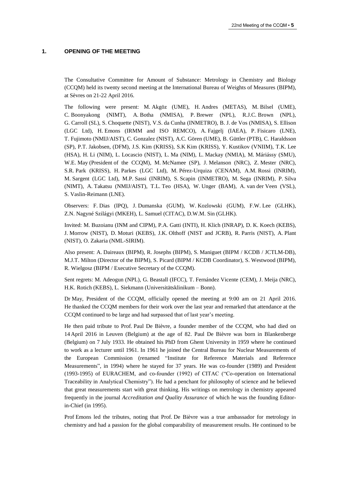#### **1. OPENING OF THE MEETING**

The Consultative Committee for Amount of Substance: Metrology in Chemistry and Biology (CCQM) held its twenty second meeting at the International Bureau of Weights of Measures (BIPM), at Sèvres on 21-22 April 2016.

The following were present: M. Akgöz (UME), H. Andres (METAS), M. Bilsel (UME), C. Boonyakong (NIMT), A. Botha (NMISA), P. Brewer (NPL), R.J.C. Brown (NPL), G. Carroll (SL), S. Choquette (NIST), V.S. da Cunha (INMETRO), B. J. de Vos (NMISA), S. Ellison (LGC Ltd), H. Emons (IRMM and ISO REMCO), A. Fajgelj (IAEA), P. Fisicaro (LNE), T. Fujimoto (NMIJ/AIST), C. Gonzalez (NIST), A.C. Gören (UME), B. Güttler (PTB), C. Haraldsson (SP), P.T. Jakobsen, (DFM), J.S. Kim (KRISS), S.K Kim (KRISS), Y. Kustikov (VNIIM), T.K. Lee (HSA), H. Li (NIM), L. Locascio (NIST), L. Ma (NIM), L. Mackay (NMIA), M. Máriássy (SMU), W.E. May (President of the CCQM), M. McNamee (SP), J. Melanson (NRC), Z. Mester (NRC), S.R. Park (KRISS), H. Parkes (LGC Ltd), M. Pérez-Urquiza (CENAM), A.M. Rossi (INRIM), M. Sargent (LGC Ltd), M.P. Sassi (INRIM), S. Scapin (INMETRO), M. Sega (INRIM), P. Silva (NIMT), A. Takatsu (NMIJ/AIST), T.L. Teo (HSA), W. Unger (BAM), A. van der Veen (VSL), S. Vaslin-Reimann (LNE).

Observers: F. Dias (IPQ), J. Dumanska (GUM), W. Kozlowski (GUM), F.W. Lee (GLHK), Z.N. Nagyné Szilágyi (MKEH), L. Samuel (CITAC), D.W.M. Sin (GLHK).

Invited: M. Buzoianu (INM and CIPM), P.A. Gatti (INTI), H. Klich (INRAP), D. K. Koech (KEBS), J. Morrow (NIST), D. Moturi (KEBS), J.K. Olthoff (NIST and JCRB), R. Parris (NIST), A. Plant (NIST), O. Zakaria (NML-SIRIM).

Also present: A. Daireaux (BIPM), R. Josephs (BIPM), S. Maniguet (BIPM / KCDB / JCTLM-DB), M.J.T. Milton (Director of the BIPM), S. Picard (BIPM / KCDB Coordinator), S. Westwood (BIPM), R. Wielgosz (BIPM / Executive Secretary of the CCQM).

Sent regrets: M. Adeogun (NPL), G. Beastall (IFCC), T. Fernández Vicente (CEM), J. Meija (NRC), H.K. Rotich (KEBS), L. Siekmann (Universitätsklinikum – Bonn).

Dr May, President of the CCQM, officially opened the meeting at 9:00 am on 21 April 2016. He thanked the CCQM members for their work over the last year and remarked that attendance at the CCQM continued to be large and had surpassed that of last year's meeting.

He then paid tribute to Prof. Paul De Bièvre, a founder member of the CCQM, who had died on 14 April 2016 in Leuven (Belgium) at the age of 82. Paul De Bièvre was born in Blankenberge (Belgium) on 7 July 1933. He obtained his PhD from Ghent University in 1959 where he continued to work as a lecturer until 1961. In 1961 he joined the Central Bureau for Nuclear Measurements of the European Commission (renamed "Institute for Reference Materials and Reference Measurements", in 1994) where he stayed for 37 years. He was co-founder (1989) and President (1993-1995) of EURACHEM, and co-founder (1992) of CITAC ("Co-operation on International Traceability in Analytical Chemistry"). He had a penchant for philosophy of science and he believed that great measurements start with great thinking. His writings on metrology in chemistry appeared frequently in the journal *Accreditation and Quality Assurance* of which he was the founding Editorin-Chief (in 1995).

Prof Emons led the tributes, noting that Prof. De Bièvre was a true ambassador for metrology in chemistry and had a passion for the global comparability of measurement results. He continued to be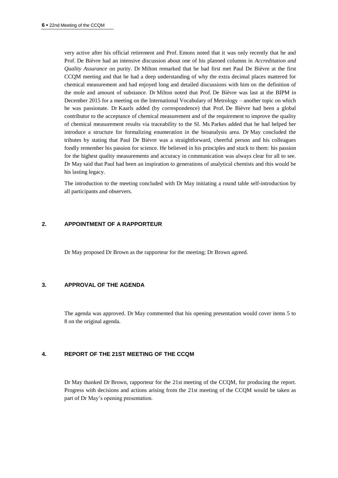very active after his official retirement and Prof. Emons noted that it was only recently that he and Prof. De Bièvre had an intensive discussion about one of his planned columns in *Accreditation and Quality Assurance* on purity. Dr Milton remarked that he had first met Paul De Bièvre at the first CCQM meeting and that he had a deep understanding of why the extra decimal places mattered for chemical measurement and had enjoyed long and detailed discussions with him on the definition of the mole and amount of substance. Dr Milton noted that Prof. De Bièvre was last at the BIPM in December 2015 for a meeting on the International Vocabulary of Metrology – another topic on which he was passionate. Dr Kaarls added (by correspondence) that Prof. De Bièvre had been a global contributor to the acceptance of chemical measurement and of the requirement to improve the quality of chemical measurement results via traceability to the SI. Ms Parkes added that he had helped her introduce a structure for formalizing enumeration in the bioanalysis area. Dr May concluded the tributes by stating that Paul De Bièvre was a straightforward, cheerful person and his colleagues fondly remember his passion for science. He believed in his principles and stuck to them: his passion for the highest quality measurements and accuracy in communication was always clear for all to see. Dr May said that Paul had been an inspiration to generations of analytical chemists and this would be his lasting legacy.

The introduction to the meeting concluded with Dr May initiating a round table self-introduction by all participants and observers.

#### **2. APPOINTMENT OF A RAPPORTEUR**

Dr May proposed Dr Brown as the rapporteur for the meeting; Dr Brown agreed.

# **3. APPROVAL OF THE AGENDA**

The agenda was approved. Dr May commented that his opening presentation would cover items 5 to 8 on the original agenda.

#### **4. REPORT OF THE 21ST MEETING OF THE CCQM**

Dr May thanked Dr Brown, rapporteur for the 21st meeting of the CCQM, for producing the report. Progress with decisions and actions arising from the 21st meeting of the CCQM would be taken as part of Dr May's opening presentation.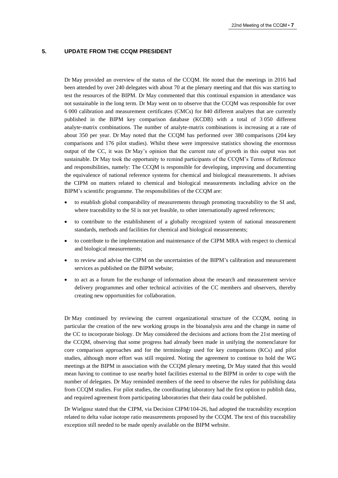#### **5. UPDATE FROM THE CCQM PRESIDENT**

Dr May provided an overview of the status of the CCQM. He noted that the meetings in 2016 had been attended by over 240 delegates with about 70 at the plenary meeting and that this was starting to test the resources of the BIPM. Dr May commented that this continual expansion in attendance was not sustainable in the long term. Dr May went on to observe that the CCQM was responsible for over 6 000 calibration and measurement certificates (CMCs) for 840 different analytes that are currently published in the BIPM key comparison database (KCDB) with a total of 3 050 different analyte‐matrix combinations. The number of analyte-matrix combinations is increasing at a rate of about 350 per year. Dr May noted that the CCQM has performed over 380 comparisons (204 key comparisons and 176 pilot studies). Whilst these were impressive statistics showing the enormous output of the CC, it was Dr May's opinion that the current rate of growth in this output was not sustainable. Dr May took the opportunity to remind participants of the CCQM's Terms of Reference and responsibilities, namely: The CCQM is responsible for developing, improving and documenting the equivalence of national reference systems for chemical and biological measurements. It advises the CIPM on matters related to chemical and biological measurements including advice on the BIPM's scientific programme. The responsibilities of the CCQM are:

- to establish global comparability of measurements through promoting traceability to the SI and, where traceability to the SI is not yet feasible, to other internationally agreed references;
- to contribute to the establishment of a globally recognized system of national measurement standards, methods and facilities for chemical and biological measurements;
- to contribute to the implementation and maintenance of the CIPM MRA with respect to chemical and biological measurements;
- to review and advise the CIPM on the uncertainties of the BIPM's calibration and measurement services as published on the BIPM website;
- to act as a forum for the exchange of information about the research and measurement service delivery programmes and other technical activities of the CC members and observers, thereby creating new opportunities for collaboration.

Dr May continued by reviewing the current organizational structure of the CCQM, noting in particular the creation of the new working groups in the bioanalysis area and the change in name of the CC to incorporate biology. Dr May considered the decisions and actions from the 21st meeting of the CCQM, observing that some progress had already been made in unifying the nomenclature for core comparison approaches and for the terminology used for key comparisons (KCs) and pilot studies, although more effort was still required. Noting the agreement to continue to hold the WG meetings at the BIPM in association with the CCQM plenary meeting, Dr May stated that this would mean having to continue to use nearby hotel facilities external to the BIPM in order to cope with the number of delegates. Dr May reminded members of the need to observe the rules for publishing data from CCQM studies. For pilot studies, the coordinating laboratory had the first option to publish data, and required agreement from participating laboratories that their data could be published.

Dr Wielgosz stated that the CIPM, via Decision CIPM/104-26, had adopted the traceability exception related to delta value isotope ratio measurements proposed by the CCQM. The text of this traceability exception still needed to be made openly available on the BIPM website.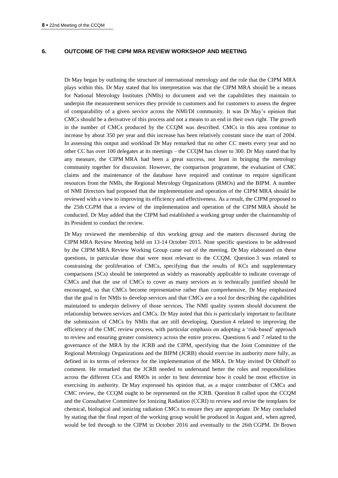#### **6. OUTCOME OF THE CIPM MRA REVIEW WORKSHOP AND MEETING**

Dr May began by outlining the structure of international metrology and the role that the CIPM MRA plays within this. Dr May stated that his interpretation was that the CIPM MRA should be a means for National Metrology Institutes (NMIs) to document and vet the capabilities they maintain to underpin the measurement services they provide to customers and for customers to assess the degree of comparability of a given service across the NMI/DI community. It was Dr May's opinion that CMCs should be a derivative of this process and not a means to an end in their own right. The growth in the number of CMCs produced by the CCQM was described. CMCs in this area continue to increase by about 350 per year and this increase has been relatively constant since the start of 2004. In assessing this output and workload Dr May remarked that no other CC meets every year and no other CC has over 100 delegates at its meetings – the CCQM has closer to 300. Dr May stated that by any measure, the CIPM MRA had been a great success, not least in bringing the metrology community together for discussion. However, the comparison programme, the evaluation of CMC claims and the maintenance of the database have required and continue to require significant resources from the NMIs, the Regional Metrology Organizations (RMOs) and the BIPM. A number of NMI Directors had proposed that the implementation and operation of the CIPM MRA should be reviewed with a view to improving its efficiency and effectiveness. As a result, the CIPM proposed to the 25th CGPM that a review of the implementation and operation of the CIPM MRA should be conducted. Dr May added that the CIPM had established a working group under the chairmanship of its President to conduct the review.

Dr May reviewed the membership of this working group and the matters discussed during the CIPM MRA Review Meeting held on 13-14 October 2015. Nine specific questions to be addressed by the CIPM MRA Review Working Group came out of the meeting. Dr May elaborated on these questions, in particular those that were most relevant to the CCQM. Question 3 was related to constraining the proliferation of CMCs, specifying that the results of KCs and supplementary comparisons (SCs) should be interpreted as widely as reasonably applicable to indicate coverage of CMCs and that the use of CMCs to cover as many services as is technically justified should be encouraged, so that CMCs become representative rather than comprehensive. Dr May emphasized that the goal is for NMIs to develop services and that CMCs are a tool for describing the capabilities maintained to underpin delivery of those services. The NMI quality system should document the relationship between services and CMCs. Dr May noted that this is particularly important to facilitate the submission of CMCs by NMIs that are still developing. Question 4 related to improving the efficiency of the CMC review process, with particular emphasis on adopting a 'risk-based' approach to review and ensuring greater consistency across the entire process. Questions 6 and 7 related to the governance of the MRA by the JCRB and the CIPM, specifying that the Joint Committee of the Regional Metrology Organizations and the BIPM (JCRB) should exercise its authority more fully, as defined in its terms of reference for the implementation of the MRA. Dr May invited Dr Olthoff to comment. He remarked that the JCRB needed to understand better the roles and responsibilities across the different CCs and RMOs in order to best determine how it could be most effective in exercising its authority. Dr May expressed his opinion that, as a major contributor of CMCs and CMC review, the CCQM ought to be represented on the JCRB. Question 8 called upon the CCQM and the Consultative Committee for Ionizing Radiation (CCRI) to review and revise the templates for chemical, biological and ionizing radiation CMCs to ensure they are appropriate. Dr May concluded by stating that the final report of the working group would be produced in August and, when agreed, would be fed through to the CIPM in October 2016 and eventually to the 26th CGPM. Dr Brown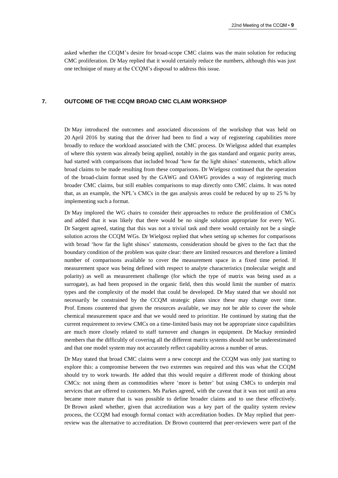asked whether the CCQM's desire for broad-scope CMC claims was the main solution for reducing CMC proliferation. Dr May replied that it would certainly reduce the numbers, although this was just one technique of many at the CCQM's disposal to address this issue.

#### **7. OUTCOME OF THE CCQM BROAD CMC CLAIM WORKSHOP**

Dr May introduced the outcomes and associated discussions of the workshop that was held on 20 April 2016 by stating that the driver had been to find a way of registering capabilities more broadly to reduce the workload associated with the CMC process. Dr Wielgosz added that examples of where this system was already being applied, notably in the gas standard and organic purity areas, had started with comparisons that included broad 'how far the light shines' statements, which allow broad claims to be made resulting from these comparisons. Dr Wielgosz continued that the operation of the broad-claim format used by the GAWG and OAWG provides a way of registering much broader CMC claims, but still enables comparisons to map directly onto CMC claims. It was noted that, as an example, the NPL's CMCs in the gas analysis areas could be reduced by up to 25 % by implementing such a format.

Dr May implored the WG chairs to consider their approaches to reduce the proliferation of CMCs and added that it was likely that there would be no single solution appropriate for every WG. Dr Sargent agreed, stating that this was not a trivial task and there would certainly not be a single solution across the CCQM WGs. Dr Wielgosz replied that when setting up schemes for comparisons with broad 'how far the light shines' statements, consideration should be given to the fact that the boundary condition of the problem was quite clear: there are limited resources and therefore a limited number of comparisons available to cover the measurement space in a fixed time period. If measurement space was being defined with respect to analyte characteristics (molecular weight and polarity) as well as measurement challenge (for which the type of matrix was being used as a surrogate), as had been proposed in the organic field, then this would limit the number of matrix types and the complexity of the model that could be developed. Dr May stated that we should not necessarily be constrained by the CCQM strategic plans since these may change over time. Prof. Emons countered that given the resources available, we may not be able to cover the whole chemical measurement space and that we would need to prioritize. He continued by stating that the current requirement to review CMCs on a time-limited basis may not be appropriate since capabilities are much more closely related to staff turnover and changes in equipment. Dr Mackay reminded members that the difficultly of covering all the different matrix systems should not be underestimated and that one model system may not accurately reflect capability across a number of areas.

Dr May stated that broad CMC claims were a new concept and the CCQM was only just starting to explore this: a compromise between the two extremes was required and this was what the CCQM should try to work towards. He added that this would require a different mode of thinking about CMCs: not using them as commodities where 'more is better' but using CMCs to underpin real services that are offered to customers. Ms Parkes agreed, with the caveat that it was not until an area became more mature that is was possible to define broader claims and to use these effectively. Dr Brown asked whether, given that accreditation was a key part of the quality system review process, the CCQM had enough formal contact with accreditation bodies. Dr May replied that peerreview was the alternative to accreditation. Dr Brown countered that peer-reviewers were part of the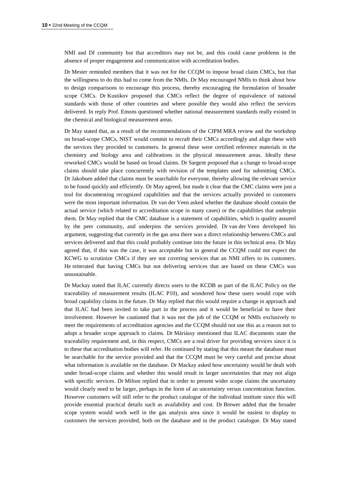NMI and DI community but that accreditors may not be, and this could cause problems in the absence of proper engagement and communication with accreditation bodies.

Dr Mester reminded members that it was not for the CCQM to impose broad claim CMCs, but that the willingness to do this had to come from the NMIs. Dr May encouraged NMIs to think about how to design comparisons to encourage this process, thereby encouraging the formulation of broader scope CMCs. Dr Kustikov proposed that CMCs reflect the degree of equivalence of national standards with those of other countries and where possible they would also reflect the services delivered. In reply Prof. Emons questioned whether national measurement standards really existed in the chemical and biological measurement areas.

Dr May stated that, as a result of the recommendations of the CIPM MRA review and the workshop on broad-scope CMCs, NIST would commit to recraft their CMCs accordingly and align these with the services they provided to customers. In general these were certified reference materials in the chemistry and biology area and calibrations in the physical measurement areas. Ideally these reworked CMCs would be based on broad claims. Dr Sargent proposed that a change to broad-scope claims should take place concurrently with revision of the templates used for submitting CMCs. Dr Jakobsen added that claims must be searchable for everyone, thereby allowing the relevant service to be found quickly and efficiently. Dr May agreed, but made it clear that the CMC claims were just a tool for documenting recognized capabilities and that the services actually provided to customers were the most important information. Dr van der Veen asked whether the database should contain the actual service (which related to accreditation scope in many cases) or the capabilities that underpin them. Dr May replied that the CMC database is a statement of capabilities, which is quality assured by the peer community, and underpins the services provided. Dr van der Veen developed his argument, suggesting that currently in the gas area there was a direct relationship between CMCs and services delivered and that this could probably continue into the future in this technical area. Dr May agreed that, if this was the case, it was acceptable but in general the CCQM could not expect the KCWG to scrutinize CMCs if they are not covering services that an NMI offers to its customers. He reiterated that having CMCs but not delivering services that are based on these CMCs was unsustainable.

Dr Mackay stated that ILAC currently directs users to the KCDB as part of the ILAC Policy on the traceability of measurement results (ILAC P10), and wondered how these users would cope with broad capability claims in the future. Dr May replied that this would require a change in approach and that ILAC had been invited to take part in the process and it would be beneficial to have their involvement. However he cautioned that it was not the job of the CCQM or NMIs exclusively to meet the requirements of accreditation agencies and the CCQM should not use this as a reason not to adopt a broader scope approach to claims. Dr Máriássy mentioned that ILAC documents state the traceability requirement and, in this respect, CMCs are a real driver for providing services since it is to these that accreditation bodies will refer. He continued by stating that this meant the database must be searchable for the service provided and that the CCQM must be very careful and precise about what information is available on the database. Dr Mackay asked how uncertainty would be dealt with under broad-scope claims and whether this would result in larger uncertainties that may not align with specific services. Dr Milton replied that in order to present wider scope claims the uncertainty would clearly need to be larger, perhaps in the form of an uncertainty versus concentration function. However customers will still refer to the product catalogue of the individual institute since this will provide essential practical details such as availability and cost. Dr Brewer added that the broader scope system would work well in the gas analysis area since it would be easiest to display to customers the services provided, both on the database and in the product catalogue. Dr May stated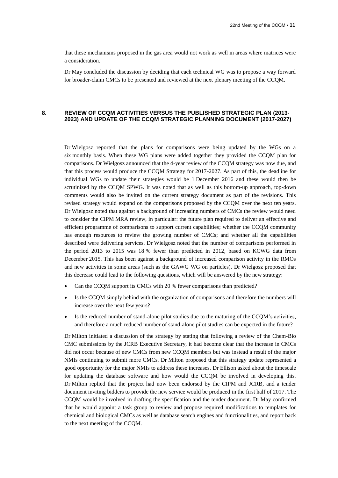that these mechanisms proposed in the gas area would not work as well in areas where matrices were a consideration.

Dr May concluded the discussion by deciding that each technical WG was to propose a way forward for broader-claim CMCs to be presented and reviewed at the next plenary meeting of the CCQM.

#### **8. REVIEW OF CCQM ACTIVITIES VERSUS THE PUBLISHED STRATEGIC PLAN (2013- 2023) AND UPDATE OF THE CCQM STRATEGIC PLANNING DOCUMENT (2017-2027)**

Dr Wielgosz reported that the plans for comparisons were being updated by the WGs on a six monthly basis. When these WG plans were added together they provided the CCQM plan for comparisons. Dr Wielgosz announced that the 4-year review of the CCQM strategy was now due, and that this process would produce the CCQM Strategy for 2017-2027. As part of this, the deadline for individual WGs to update their strategies would be 1 December 2016 and these would then be scrutinized by the CCQM SPWG. It was noted that as well as this bottom-up approach, top-down comments would also be invited on the current strategy document as part of the revisions. This revised strategy would expand on the comparisons proposed by the CCQM over the next ten years. Dr Wielgosz noted that against a background of increasing numbers of CMCs the review would need to consider the CIPM MRA review, in particular: the future plan required to deliver an effective and efficient programme of comparisons to support current capabilities; whether the CCQM community has enough resources to review the growing number of CMCs; and whether all the capabilities described were delivering services. Dr Wielgosz noted that the number of comparisons performed in the period 2013 to 2015 was 18 % fewer than predicted in 2012, based on KCWG data from December 2015. This has been against a background of increased comparison activity in the RMOs and new activities in some areas (such as the GAWG WG on particles). Dr Wielgosz proposed that this decrease could lead to the following questions, which will be answered by the new strategy:

- Can the CCQM support its CMCs with 20 % fewer comparisons than predicted?
- Is the CCQM simply behind with the organization of comparisons and therefore the numbers will increase over the next few years?
- Is the reduced number of stand-alone pilot studies due to the maturing of the CCQM's activities, and therefore a much reduced number of stand-alone pilot studies can be expected in the future?

Dr Milton initiated a discussion of the strategy by stating that following a review of the Chem-Bio CMC submissions by the JCRB Executive Secretary, it had become clear that the increase in CMCs did not occur because of new CMCs from new CCQM members but was instead a result of the major NMIs continuing to submit more CMCs. Dr Milton proposed that this strategy update represented a good opportunity for the major NMIs to address these increases. Dr Ellison asked about the timescale for updating the database software and how would the CCQM be involved in developing this. Dr Milton replied that the project had now been endorsed by the CIPM and JCRB, and a tender document inviting bidders to provide the new service would be produced in the first half of 2017. The CCQM would be involved in drafting the specification and the tender document. Dr May confirmed that he would appoint a task group to review and propose required modifications to templates for chemical and biological CMCs as well as database search engines and functionalities, and report back to the next meeting of the CCQM.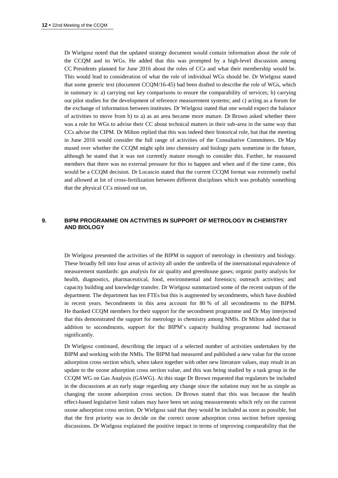Dr Wielgosz noted that the updated strategy document would contain information about the role of the CCQM and its WGs. He added that this was prompted by a high-level discussion among CC Presidents planned for June 2016 about the roles of CCs and what their membership would be. This would lead to consideration of what the role of individual WGs should be. Dr Wielgosz stated that some generic text (document CCQM/16-45) had been drafted to describe the role of WGs, which in summary is: a) carrying out key comparisons to ensure the comparability of services; b) carrying out pilot studies for the development of reference measurement systems; and c) acting as a forum for the exchange of information between institutes. Dr Wielgosz stated that one would expect the balance of activities to move from b) to a) as an area became more mature. Dr Brown asked whether there was a role for WGs to advise their CC about technical matters in their sub-area in the same way that CCs advise the CIPM. Dr Milton replied that this was indeed their historical role, but that the meeting in June 2016 would consider the full range of activities of the Consultative Committees. Dr May mused over whether the CCQM might split into chemistry and biology parts sometime in the future, although he stated that it was not currently mature enough to consider this. Further, he reassured members that there was no external pressure for this to happen and when and if the time came, this would be a CCQM decision. Dr Locascio stated that the current CCQM format was extremely useful and allowed at lot of cross-fertilization between different disciplines which was probably something that the physical CCs missed out on.

# **9. BIPM PROGRAMME ON ACTIVITIES IN SUPPORT OF METROLOGY IN CHEMISTRY AND BIOLOGY**

Dr Wielgosz presented the activities of the BIPM in support of metrology in chemistry and biology. These broadly fell into four areas of activity all under the umbrella of the international equivalence of measurement standards: gas analysis for air quality and greenhouse gases; organic purity analysis for health, diagnostics, pharmaceutical, food, environmental and forensics; outreach activities; and capacity building and knowledge transfer. Dr Wielgosz summarized some of the recent outputs of the department. The department has ten FTEs but this is augmented by secondments, which have doubled in recent years. Secondments in this area account for 80 % of all secondments to the BIPM. He thanked CCQM members for their support for the secondment programme and Dr May interjected that this demonstrated the support for metrology in chemistry among NMIs. Dr Milton added that in addition to secondments, support for the BIPM's capacity building programme had increased significantly.

Dr Wielgosz continued, describing the impact of a selected number of activities undertaken by the BIPM and working with the NMIs. The BIPM had measured and published a new value for the ozone adsorption cross section which, when taken together with other new literature values, may result in an update to the ozone adsorption cross section value, and this was being studied by a task group in the CCQM WG on Gas Analysis (GAWG). At this stage Dr Brown requested that regulators be included in the discussions at an early stage regarding any change since the solution may not be as simple as changing the ozone adsorption cross section. Dr Brown stated that this was because the health effect-based legislative limit values may have been set using measurements which rely on the current ozone adsorption cross section. Dr Wielgosz said that they would be included as soon as possible, but that the first priority was to decide on the correct ozone adsorption cross section before opening discussions. Dr Wielgosz explained the positive impact in terms of improving comparability that the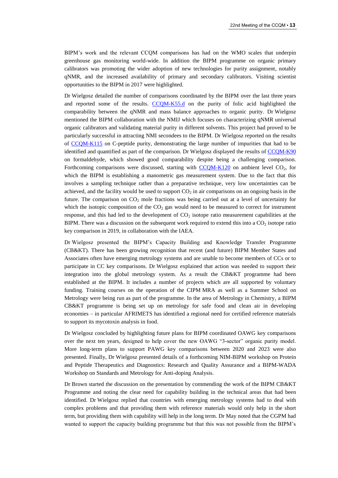BIPM's work and the relevant CCQM comparisons has had on the WMO scales that underpin greenhouse gas monitoring world-wide. In addition the BIPM programme on organic primary calibrators was promoting the wider adoption of new technologies for purity assignment, notably qNMR, and the increased availability of primary and secondary calibrators. Visiting scientist opportunities to the BIPM in 2017 were highlighted.

Dr Wielgosz detailed the number of comparisons coordinated by the BIPM over the last three years and reported some of the results. [CCQM-K55.d](http://kcdb.bipm.org/appendixB/KCDB_ApB_info.asp?cmp_idy=1359&cmp_cod=CCQM-K55.d&prov=exalead) on the purity of folic acid highlighted the comparability between the qNMR and mass balance approaches to organic purity. Dr Wielgosz mentioned the BIPM collaboration with the NMIJ which focuses on characterizing qNMR universal organic calibrators and validating material purity in different solvents. This project had proved to be particularly successful in attracting NMI secondees to the BIPM. Dr Wielgosz reported on the results of [CCQM-K115](http://kcdb.bipm.org/appendixB/KCDB_ApB_info.asp?cmp_idy=1339&cmp_cod=CCQM-K115&prov=exalead) on C-peptide purity, demonstrating the large number of impurities that had to be identified and quantified as part of the comparison. Dr Wielgosz displayed the results of [CCQM-K90](http://kcdb.bipm.org/appendixB/KCDB_ApB_info.asp?cmp_idy=1095&cmp_cod=CCQM-K90&prov=exalead) on formaldehyde, which showed good comparability despite being a challenging comparison. Forthcoming comparisons were discussed, starting with  $CCOM-K120$  on ambient level  $CO<sub>2</sub>$ , for which the BIPM is establishing a manometric gas measurement system. Due to the fact that this involves a sampling technique rather than a preparative technique, very low uncertainties can be achieved, and the facility would be used to support  $CO<sub>2</sub>$  in air comparisons on an ongoing basis in the future. The comparison on  $CO<sub>2</sub>$  mole fractions was being carried out at a level of uncertainty for which the isotopic composition of the  $CO<sub>2</sub>$  gas would need to be measured to correct for instrument response, and this had led to the development of  $CO<sub>2</sub>$  isotope ratio measurement capabilities at the BIPM. There was a discussion on the subsequent work required to extend this into a  $CO<sub>2</sub>$  isotope ratio key comparison in 2019, in collaboration with the IAEA.

Dr Wielgosz presented the BIPM's Capacity Building and Knowledge Transfer Programme (CB&KT). There has been growing recognition that recent (and future) BIPM Member States and Associates often have emerging metrology systems and are unable to become members of CCs or to participate in CC key comparisons. Dr Wielgosz explained that action was needed to support their integration into the global metrology system. As a result the CB&KT programme had been established at the BIPM. It includes a number of projects which are all supported by voluntary funding. Training courses on the operation of the CIPM MRA as well as a Summer School on Metrology were being run as part of the programme. In the area of Metrology in Chemistry, a BIPM CB&KT programme is being set up on metrology for safe food and clean air in developing economies – in particular AFRIMETS has identified a regional need for certified reference materials to support its mycotoxin analysis in food.

Dr Wielgosz concluded by highlighting future plans for BIPM coordinated OAWG key comparisons over the next ten years, designed to help cover the new OAWG "3-sector" organic purity model. More long-term plans to support PAWG key comparisons between 2020 and 2023 were also presented. Finally, Dr Wielgosz presented details of a forthcoming NIM-BIPM workshop on Protein and Peptide Therapeutics and Diagnostics: Research and Quality Assurance and a BIPM-WADA Workshop on Standards and Metrology for Anti-doping Analysis.

Dr Brown started the discussion on the presentation by commending the work of the BIPM CB&KT Programme and noting the clear need for capability building in the technical areas that had been identified. Dr Wielgosz replied that countries with emerging metrology systems had to deal with complex problems and that providing them with reference materials would only help in the short term, but providing them with capability will help in the long term. Dr May noted that the CGPM had wanted to support the capacity building programme but that this was not possible from the BIPM's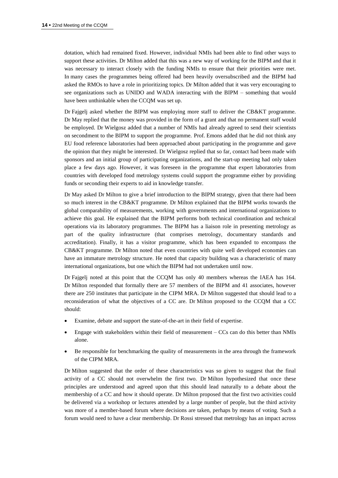dotation, which had remained fixed. However, individual NMIs had been able to find other ways to support these activities. Dr Milton added that this was a new way of working for the BIPM and that it was necessary to interact closely with the funding NMIs to ensure that their priorities were met. In many cases the programmes being offered had been heavily oversubscribed and the BIPM had asked the RMOs to have a role in prioritizing topics. Dr Milton added that it was very encouraging to see organizations such as UNIDO and WADA interacting with the BIPM – something that would have been unthinkable when the CCQM was set up.

Dr Fajgelj asked whether the BIPM was employing more staff to deliver the CB&KT programme. Dr May replied that the money was provided in the form of a grant and that no permanent staff would be employed. Dr Wielgosz added that a number of NMIs had already agreed to send their scientists on secondment to the BIPM to support the programme. Prof. Emons added that he did not think any EU food reference laboratories had been approached about participating in the programme and gave the opinion that they might be interested. Dr Wielgosz replied that so far, contact had been made with sponsors and an initial group of participating organizations, and the start-up meeting had only taken place a few days ago. However, it was foreseen in the programme that expert laboratories from countries with developed food metrology systems could support the programme either by providing funds or seconding their experts to aid in knowledge transfer.

Dr May asked Dr Milton to give a brief introduction to the BIPM strategy, given that there had been so much interest in the CB&KT programme. Dr Milton explained that the BIPM works towards the global comparability of measurements, working with governments and international organizations to achieve this goal. He explained that the BIPM performs both technical coordination and technical operations via its laboratory programmes. The BIPM has a liaison role in presenting metrology as part of the quality infrastructure (that comprises metrology, documentary standards and accreditation). Finally, it has a visitor programme, which has been expanded to encompass the CB&KT programme. Dr Milton noted that even countries with quite well developed economies can have an immature metrology structure. He noted that capacity building was a characteristic of many international organizations, but one which the BIPM had not undertaken until now.

Dr Fajgelj noted at this point that the CCQM has only 40 members whereas the IAEA has 164. Dr Milton responded that formally there are 57 members of the BIPM and 41 associates, however there are 250 institutes that participate in the CIPM MRA. Dr Milton suggested that should lead to a reconsideration of what the objectives of a CC are. Dr Milton proposed to the CCQM that a CC should:

- Examine, debate and support the state-of-the-art in their field of expertise.
- Engage with stakeholders within their field of measurement CCs can do this better than NMIs alone.
- Be responsible for benchmarking the quality of measurements in the area through the framework of the CIPM MRA.

Dr Milton suggested that the order of these characteristics was so given to suggest that the final activity of a CC should not overwhelm the first two. Dr Milton hypothesized that once these principles are understood and agreed upon that this should lead naturally to a debate about the membership of a CC and how it should operate. Dr Milton proposed that the first two activities could be delivered via a workshop or lectures attended by a large number of people, but the third activity was more of a member-based forum where decisions are taken, perhaps by means of voting. Such a forum would need to have a clear membership. Dr Rossi stressed that metrology has an impact across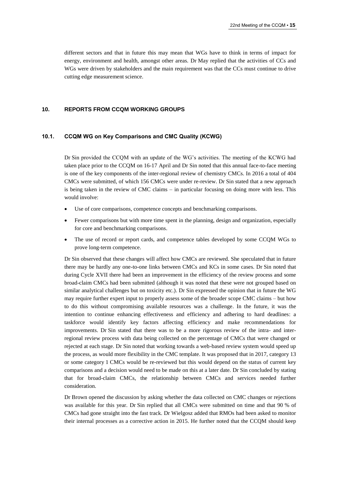different sectors and that in future this may mean that WGs have to think in terms of impact for energy, environment and health, amongst other areas. Dr May replied that the activities of CCs and WGs were driven by stakeholders and the main requirement was that the CCs must continue to drive cutting edge measurement science.

# **10. REPORTS FROM CCQM WORKING GROUPS**

#### **10.1. CCQM WG on Key Comparisons and CMC Quality (KCWG)**

Dr Sin provided the CCQM with an update of the WG's activities. The meeting of the KCWG had taken place prior to the CCQM on 16-17 April and Dr Sin noted that this annual face-to-face meeting is one of the key components of the inter-regional review of chemistry CMCs. In 2016 a total of 404 CMCs were submitted, of which 156 CMCs were under re-review. Dr Sin stated that a new approach is being taken in the review of CMC claims – in particular focusing on doing more with less. This would involve:

- Use of core comparisons, competence concepts and benchmarking comparisons.
- Fewer comparisons but with more time spent in the planning, design and organization, especially for core and benchmarking comparisons.
- The use of record or report cards, and competence tables developed by some CCQM WGs to prove long-term competence.

Dr Sin observed that these changes will affect how CMCs are reviewed. She speculated that in future there may be hardly any one-to-one links between CMCs and KCs in some cases. Dr Sin noted that during Cycle XVII there had been an improvement in the efficiency of the review process and some broad-claim CMCs had been submitted (although it was noted that these were not grouped based on similar analytical challenges but on toxicity etc.). Dr Sin expressed the opinion that in future the WG may require further expert input to properly assess some of the broader scope CMC claims – but how to do this without compromising available resources was a challenge. In the future, it was the intention to continue enhancing effectiveness and efficiency and adhering to hard deadlines: a taskforce would identify key factors affecting efficiency and make recommendations for improvements. Dr Sin stated that there was to be a more rigorous review of the intra- and interregional review process with data being collected on the percentage of CMCs that were changed or rejected at each stage. Dr Sin noted that working towards a web-based review system would speed up the process, as would more flexibility in the CMC template. It was proposed that in 2017, category 13 or some category 1 CMCs would be re-reviewed but this would depend on the status of current key comparisons and a decision would need to be made on this at a later date. Dr Sin concluded by stating that for broad-claim CMCs, the relationship between CMCs and services needed further consideration.

Dr Brown opened the discussion by asking whether the data collected on CMC changes or rejections was available for this year. Dr Sin replied that all CMCs were submitted on time and that 90 % of CMCs had gone straight into the fast track. Dr Wielgosz added that RMOs had been asked to monitor their internal processes as a corrective action in 2015. He further noted that the CCQM should keep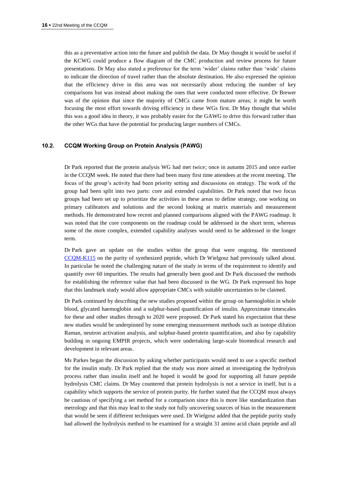this as a preventative action into the future and publish the data. Dr May thought it would be useful if the KCWG could produce a flow diagram of the CMC production and review process for future presentations. Dr May also stated a preference for the term 'wider' claims rather than 'wide' claims to indicate the direction of travel rather than the absolute destination. He also expressed the opinion that the efficiency drive in this area was not necessarily about reducing the number of key comparisons but was instead about making the ones that were conducted more effective. Dr Brewer was of the opinion that since the majority of CMCs came from mature areas; it might be worth focusing the most effort towards driving efficiency in these WGs first. Dr May thought that whilst this was a good idea in theory, it was probably easier for the GAWG to drive this forward rather than the other WGs that have the potential for producing larger numbers of CMCs.

# **10.2. CCQM Working Group on Protein Analysis (PAWG)**

Dr Park reported that the protein analysis WG had met twice; once in autumn 2015 and once earlier in the CCQM week. He noted that there had been many first time attendees at the recent meeting. The focus of the group's activity had been priority setting and discussions on strategy. The work of the group had been split into two parts: core and extended capabilities. Dr Park noted that two focus groups had been set up to prioritize the activities in these areas to define strategy, one working on primary calibrators and solutions and the second looking at matrix materials and measurement methods. He demonstrated how recent and planned comparisons aligned with the PAWG roadmap. It was noted that the core components on the roadmap could be addressed in the short term, whereas some of the more complex, extended capability analyses would need to be addressed in the longer term.

Dr Park gave an update on the studies within the group that were ongoing. He mentioned [CCQM-K115](http://kcdb.bipm.org/appendixB/KCDB_ApB_info.asp?cmp_idy=1339&cmp_cod=CCQM-K115&prov=exalead) on the purity of synthesized peptide, which Dr Wielgosz had previously talked about. In particular he noted the challenging nature of the study in terms of the requirement to identify and quantify over 60 impurities. The results had generally been good and Dr Park discussed the methods for establishing the reference value that had been discussed in the WG. Dr Park expressed his hope that this landmark study would allow appropriate CMCs with suitable uncertainties to be claimed.

Dr Park continued by describing the new studies proposed within the group on haemoglobin in whole blood, glycated haemoglobin and a sulphur-based quantification of insulin. Approximate timescales for these and other studies through to 2020 were proposed. Dr Park stated his expectation that these new studies would be underpinned by some emerging measurement methods such as isotope dilution Raman, neutron activation analysis, and sulphur-based protein quantification, and also by capability building in ongoing EMPIR projects, which were undertaking large-scale biomedical research and development in relevant areas.

Ms Parkes began the discussion by asking whether participants would need to use a specific method for the insulin study. Dr Park replied that the study was more aimed at investigating the hydrolysis process rather than insulin itself and he hoped it would be good for supporting all future peptide hydrolysis CMC claims. Dr May countered that protein hydrolysis is not a service in itself, but is a capability which supports the service of protein purity. He further stated that the CCQM must always be cautious of specifying a set method for a comparison since this is more like standardization than metrology and that this may lead to the study not fully uncovering sources of bias in the measurement that would be seen if different techniques were used. Dr Wielgosz added that the peptide purity study had allowed the hydrolysis method to be examined for a straight 31 amino acid chain peptide and all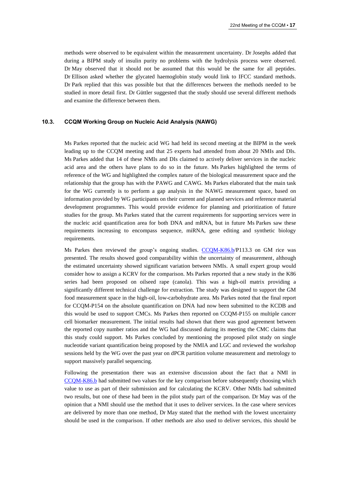methods were observed to be equivalent within the measurement uncertainty. Dr Josephs added that during a BIPM study of insulin purity no problems with the hydrolysis process were observed. Dr May observed that it should not be assumed that this would be the same for all peptides. Dr Ellison asked whether the glycated haemoglobin study would link to IFCC standard methods. Dr Park replied that this was possible but that the differences between the methods needed to be studied in more detail first. Dr Güttler suggested that the study should use several different methods and examine the difference between them.

# **10.3. CCQM Working Group on Nucleic Acid Analysis (NAWG)**

Ms Parkes reported that the nucleic acid WG had held its second meeting at the BIPM in the week leading up to the CCQM meeting and that 25 experts had attended from about 20 NMIs and DIs. Ms Parkes added that 14 of these NMIs and DIs claimed to actively deliver services in the nucleic acid area and the others have plans to do so in the future. Ms Parkes highlighted the terms of reference of the WG and highlighted the complex nature of the biological measurement space and the relationship that the group has with the PAWG and CAWG. Ms Parkes elaborated that the main task for the WG currently is to perform a gap analysis in the NAWG measurement space, based on information provided by WG participants on their current and planned services and reference material development programmes. This would provide evidence for planning and prioritization of future studies for the group. Ms Parkes stated that the current requirements for supporting services were in the nucleic acid quantification area for both DNA and mRNA, but in future Ms Parkes saw these requirements increasing to encompass sequence, miRNA, gene editing and synthetic biology requirements.

Ms Parkes then reviewed the group's ongoing studies. [CCQM-K86.b/](http://kcdb.bipm.org/appendixB/KCDB_ApB_info.asp?cmp_idy=1512&cmp_cod=CCQM-K86.b&prov=exalead)P113.3 on GM rice was presented. The results showed good comparability within the uncertainty of measurement, although the estimated uncertainty showed significant variation between NMIs. A small expert group would consider how to assign a KCRV for the comparison. Ms Parkes reported that a new study in the K86 series had been proposed on oilseed rape (canola). This was a high-oil matrix providing a significantly different technical challenge for extraction. The study was designed to support the GM food measurement space in the high-oil, low-carbohydrate area. Ms Parkes noted that the final report for CCQM-P154 on the absolute quantification on DNA had now been submitted to the KCDB and this would be used to support CMCs. Ms Parkes then reported on CCQM-P155 on multiple cancer cell biomarker measurement. The initial results had shown that there was good agreement between the reported copy number ratios and the WG had discussed during its meeting the CMC claims that this study could support. Ms Parkes concluded by mentioning the proposed pilot study on single nucleotide variant quantification being proposed by the NMIA and LGC and reviewed the workshop sessions held by the WG over the past year on dPCR partition volume measurement and metrology to support massively parallel sequencing.

Following the presentation there was an extensive discussion about the fact that a NMI in [CCQM-K86.b](http://kcdb.bipm.org/appendixB/KCDB_ApB_info.asp?cmp_idy=1512&cmp_cod=CCQM-K86.b&prov=exalead) had submitted two values for the key comparison before subsequently choosing which value to use as part of their submission and for calculating the KCRV. Other NMIs had submitted two results, but one of these had been in the pilot study part of the comparison. Dr May was of the opinion that a NMI should use the method that it uses to deliver services. In the case where services are delivered by more than one method, Dr May stated that the method with the lowest uncertainty should be used in the comparison. If other methods are also used to deliver services, this should be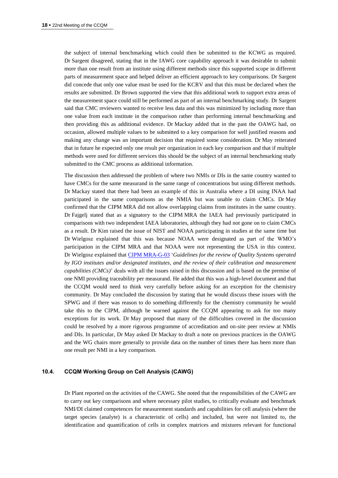the subject of internal benchmarking which could then be submitted to the KCWG as required. Dr Sargent disagreed, stating that in the IAWG core capability approach it was desirable to submit more than one result from an institute using different methods since this supported scope in different parts of measurement space and helped deliver an efficient approach to key comparisons. Dr Sargent did concede that only one value must be used for the KCRV and that this must be declared when the results are submitted. Dr Brown supported the view that this additional work to support extra areas of the measurement space could still be performed as part of an internal benchmarking study. Dr Sargent said that CMC reviewers wanted to receive less data and this was minimized by including more than one value from each institute in the comparison rather than performing internal benchmarking and then providing this as additional evidence. Dr Mackay added that in the past the OAWG had, on occasion, allowed multiple values to be submitted to a key comparison for well justified reasons and making any change was an important decision that required some consideration. Dr May reiterated that in future he expected only one result per organization in each key comparison and that if multiple methods were used for different services this should be the subject of an internal benchmarking study submitted to the CMC process as additional information.

The discussion then addressed the problem of where two NMIs or DIs in the same country wanted to have CMCs for the same measurand in the same range of concentrations but using different methods. Dr Mackay stated that there had been an example of this in Australia where a DI using INAA had participated in the same comparisons as the NMIA but was unable to claim CMCs. Dr May confirmed that the CIPM MRA did not allow overlapping claims from institutes in the same country. Dr Fajgelj stated that as a signatory to the CIPM MRA the IAEA had previously participated in comparisons with two independent IAEA laboratories, although they had not gone on to claim CMCs as a result. Dr Kim raised the issue of NIST and NOAA participating in studies at the same time but Dr Wielgosz explained that this was because NOAA were designated as part of the WMO's participation in the CIPM MRA and that NOAA were not representing the USA in this context. Dr Wielgosz explained tha[t CIPM MRA-G-03](https://www.bipm.org/utils/common/documents/CIPM-MRA/CIPM-MRA-G-03.pdf) '*Guidelines for the review of Quality Systems operated by IGO institutes and/or designated institutes, and the review of their calibration and measurement capabilities (CMCs)*' deals with all the issues raised in this discussion and is based on the premise of one NMI providing traceability per measurand. He added that this was a high-level document and that the CCQM would need to think very carefully before asking for an exception for the chemistry community. Dr May concluded the discussion by stating that he would discuss these issues with the SPWG and if there was reason to do something differently for the chemistry community he would take this to the CIPM, although he warned against the CCQM appearing to ask for too many exceptions for its work. Dr May proposed that many of the difficulties covered in the discussion could be resolved by a more rigorous programme of accreditation and on-site peer review at NMIs and DIs. In particular, Dr May asked Dr Mackay to draft a note on previous practices in the OAWG and the WG chairs more generally to provide data on the number of times there has been more than one result per NMI in a key comparison.

#### **10.4. CCQM Working Group on Cell Analysis (CAWG)**

Dr Plant reported on the activities of the CAWG. She noted that the responsibilities of the CAWG are to carry out key comparisons and where necessary pilot studies, to critically evaluate and benchmark NMI/DI claimed competences for measurement standards and capabilities for cell analysis (where the target species (analyte) is a characteristic of cells) and included, but were not limited to, the identification and quantification of cells in complex matrices and mixtures relevant for functional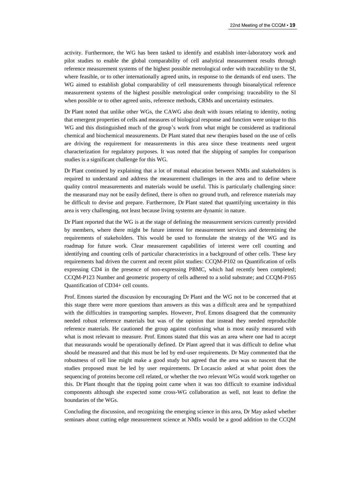activity. Furthermore, the WG has been tasked to identify and establish inter-laboratory work and pilot studies to enable the global comparability of cell analytical measurement results through reference measurement systems of the highest possible metrological order with traceability to the SI, where feasible, or to other internationally agreed units, in response to the demands of end users. The WG aimed to establish global comparability of cell measurements through bioanalytical reference measurement systems of the highest possible metrological order comprising: traceability to the SI when possible or to other agreed units, reference methods, CRMs and uncertainty estimates.

Dr Plant noted that unlike other WGs, the CAWG also dealt with issues relating to identity, noting that emergent properties of cells and measures of biological response and function were unique to this WG and this distinguished much of the group's work from what might be considered as traditional chemical and biochemical measurements. Dr Plant stated that new therapies based on the use of cells are driving the requirement for measurements in this area since these treatments need urgent characterization for regulatory purposes. It was noted that the shipping of samples for comparison studies is a significant challenge for this WG.

Dr Plant continued by explaining that a lot of mutual education between NMIs and stakeholders is required to understand and address the measurement challenges in the area and to define where quality control measurements and materials would be useful. This is particularly challenging since: the measurand may not be easily defined, there is often no ground truth, and reference materials may be difficult to devise and prepare. Furthermore, Dr Plant stated that quantifying uncertainty in this area is very challenging, not least because living systems are dynamic in nature.

Dr Plant reported that the WG is at the stage of defining the measurement services currently provided by members, where there might be future interest for measurement services and determining the requirements of stakeholders. This would be used to formulate the strategy of the WG and its roadmap for future work. Clear measurement capabilities of interest were cell counting and identifying and counting cells of particular characteristics in a background of other cells. These key requirements had driven the current and recent pilot studies: CCQM-P102 on Quantification of cells expressing CD4 in the presence of non-expressing PBMC, which had recently been completed; CCQM-P123 Number and geometric property of cells adhered to a solid substrate; and CCQM-P165 Quantification of CD34+ cell counts.

Prof. Emons started the discussion by encouraging Dr Plant and the WG not to be concerned that at this stage there were more questions than answers as this was a difficult area and he sympathized with the difficulties in transporting samples. However, Prof. Emons disagreed that the community needed robust reference materials but was of the opinion that instead they needed reproducible reference materials. He cautioned the group against confusing what is most easily measured with what is most relevant to measure. Prof. Emons stated that this was an area where one had to accept that measurands would be operationally defined. Dr Plant agreed that it was difficult to define what should be measured and that this must be led by end-user requirements. Dr May commented that the robustness of cell line might make a good study but agreed that the area was so nascent that the studies proposed must be led by user requirements. Dr Locascio asked at what point does the sequencing of proteins become cell related, or whether the two relevant WGs would work together on this. Dr Plant thought that the tipping point came when it was too difficult to examine individual components although she expected some cross-WG collaboration as well, not least to define the boundaries of the WGs.

Concluding the discussion, and recognizing the emerging science in this area, Dr May asked whether seminars about cutting edge measurement science at NMIs would be a good addition to the CCQM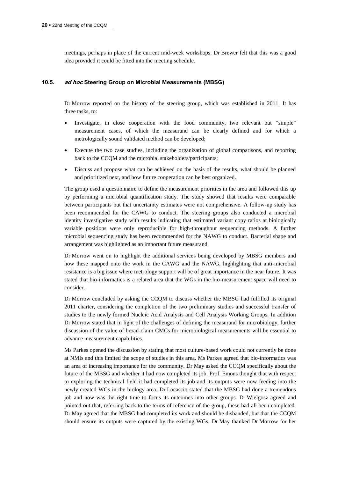meetings, perhaps in place of the current mid-week workshops. Dr Brewer felt that this was a good idea provided it could be fitted into the meeting schedule.

#### **10.5. ad hoc Steering Group on Microbial Measurements (MBSG)**

Dr Morrow reported on the history of the steering group, which was established in 2011. It has three tasks, to:

- Investigate, in close cooperation with the food community, two relevant but "simple" measurement cases, of which the measurand can be clearly defined and for which a metrologically sound validated method can be developed;
- Execute the two case studies, including the organization of global comparisons, and reporting back to the CCQM and the microbial stakeholders/participants;
- Discuss and propose what can be achieved on the basis of the results, what should be planned and prioritized next, and how future cooperation can be best organized.

The group used a questionnaire to define the measurement priorities in the area and followed this up by performing a microbial quantification study. The study showed that results were comparable between participants but that uncertainty estimates were not comprehensive. A follow-up study has been recommended for the CAWG to conduct. The steering groups also conducted a microbial identity investigative study with results indicating that estimated variant copy ratios at biologically variable positions were only reproducible for high-throughput sequencing methods. A further microbial sequencing study has been recommended for the NAWG to conduct. Bacterial shape and arrangement was highlighted as an important future measurand.

Dr Morrow went on to highlight the additional services being developed by MBSG members and how these mapped onto the work in the CAWG and the NAWG, highlighting that anti-microbial resistance is a big issue where metrology support will be of great importance in the near future. It was stated that bio-informatics is a related area that the WGs in the bio-measurement space will need to consider.

Dr Morrow concluded by asking the CCQM to discuss whether the MBSG had fulfilled its original 2011 charter, considering the completion of the two preliminary studies and successful transfer of studies to the newly formed Nucleic Acid Analysis and Cell Analysis Working Groups. In addition Dr Morrow stated that in light of the challenges of defining the measurand for microbiology, further discussion of the value of broad-claim CMCs for microbiological measurements will be essential to advance measurement capabilities.

Ms Parkes opened the discussion by stating that most culture-based work could not currently be done at NMIs and this limited the scope of studies in this area. Ms Parkes agreed that bio-informatics was an area of increasing importance for the community. Dr May asked the CCQM specifically about the future of the MBSG and whether it had now completed its job. Prof. Emons thought that with respect to exploring the technical field it had completed its job and its outputs were now feeding into the newly created WGs in the biology area. Dr Locascio stated that the MBSG had done a tremendous job and now was the right time to focus its outcomes into other groups. Dr Wielgosz agreed and pointed out that, referring back to the terms of reference of the group, these had all been completed. Dr May agreed that the MBSG had completed its work and should be disbanded, but that the CCQM should ensure its outputs were captured by the existing WGs. Dr May thanked Dr Morrow for her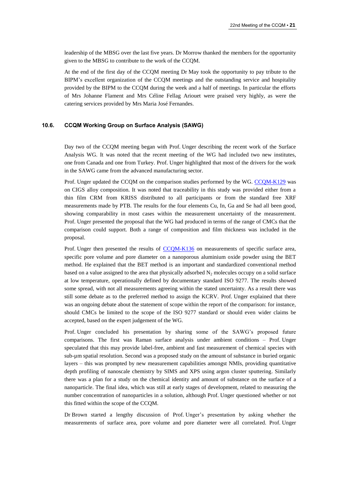leadership of the MBSG over the last five years. Dr Morrow thanked the members for the opportunity given to the MBSG to contribute to the work of the CCQM.

At the end of the first day of the CCQM meeting Dr May took the opportunity to pay tribute to the BIPM's excellent organization of the CCQM meetings and the outstanding service and hospitality provided by the BIPM to the CCQM during the week and a half of meetings. In particular the efforts of Mrs Johanne Flament and Mrs Céline Fellag Ariouet were praised very highly, as were the catering services provided by Mrs Maria José Fernandes.

# **10.6. CCQM Working Group on Surface Analysis (SAWG)**

Day two of the CCQM meeting began with Prof. Unger describing the recent work of the Surface Analysis WG. It was noted that the recent meeting of the WG had included two new institutes, one from Canada and one from Turkey. Prof. Unger highlighted that most of the drivers for the work in the SAWG came from the advanced manufacturing sector.

Prof. Unger updated the CCQM on the comparison studies performed by the WG. [CCQM-K129](http://kcdb.bipm.org/appendixB/KCDB_ApB_info.asp?cmp_idy=1468&cmp_cod=CCQM-K129&prov=exalead) was on CIGS alloy composition. It was noted that traceability in this study was provided either from a thin film CRM from KRISS distributed to all participants or from the standard free XRF measurements made by PTB. The results for the four elements Cu, In, Ga and Se had all been good, showing comparability in most cases within the measurement uncertainty of the measurement. Prof. Unger presented the proposal that the WG had produced in terms of the range of CMCs that the comparison could support. Both a range of composition and film thickness was included in the proposal.

Prof. Unger then presented the results of [CCQM-K136](http://kcdb.bipm.org/appendixB/KCDB_ApB_info.asp?cmp_idy=1480&cmp_cod=CCQM-K136&prov=exalead) on measurements of specific surface area, specific pore volume and pore diameter on a nanoporous aluminium oxide powder using the BET method. He explained that the BET method is an important and standardized conventional method based on a value assigned to the area that physically adsorbed  $N_2$  molecules occupy on a solid surface at low temperature, operationally defined by documentary standard ISO 9277. The results showed some spread, with not all measurements agreeing within the stated uncertainty. As a result there was still some debate as to the preferred method to assign the KCRV. Prof. Unger explained that there was an ongoing debate about the statement of scope within the report of the comparison: for instance, should CMCs be limited to the scope of the ISO 9277 standard or should even wider claims be accepted, based on the expert judgement of the WG.

Prof. Unger concluded his presentation by sharing some of the SAWG's proposed future comparisons. The first was Raman surface analysis under ambient conditions – Prof. Unger speculated that this may provide label-free, ambient and fast measurement of chemical species with sub-µm spatial resolution. Second was a proposed study on the amount of substance in buried organic layers – this was prompted by new measurement capabilities amongst NMIs, providing quantitative depth profiling of nanoscale chemistry by SIMS and XPS using argon cluster sputtering. Similarly there was a plan for a study on the chemical identity and amount of substance on the surface of a nanoparticle. The final idea, which was still at early stages of development, related to measuring the number concentration of nanoparticles in a solution, although Prof. Unger questioned whether or not this fitted within the scope of the CCQM.

Dr Brown started a lengthy discussion of Prof. Unger's presentation by asking whether the measurements of surface area, pore volume and pore diameter were all correlated. Prof. Unger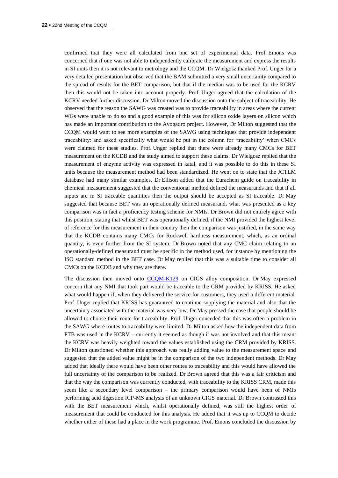confirmed that they were all calculated from one set of experimental data. Prof. Emons was concerned that if one was not able to independently calibrate the measurement and express the results in SI units then it is not relevant to metrology and the CCQM. Dr Wielgosz thanked Prof. Unger for a very detailed presentation but observed that the BAM submitted a very small uncertainty compared to the spread of results for the BET comparison, but that if the median was to be used for the KCRV then this would not be taken into account properly. Prof. Unger agreed that the calculation of the KCRV needed further discussion. Dr Milton moved the discussion onto the subject of traceability. He observed that the reason the SAWG was created was to provide traceability in areas where the current WGs were unable to do so and a good example of this was for silicon oxide layers on silicon which has made an important contribution to the Avogadro project. However, Dr Milton suggested that the CCQM would want to see more examples of the SAWG using techniques that provide independent traceability: and asked specifically what would be put in the column for 'traceability' when CMCs were claimed for these studies. Prof. Unger replied that there were already many CMCs for BET measurement on the KCDB and the study aimed to support these claims. Dr Wielgosz replied that the measurement of enzyme activity was expressed in katal, and it was possible to do this in these SI units because the measurement method had been standardized. He went on to state that the JCTLM database had many similar examples. Dr Ellison added that the Eurachem guide on traceability in chemical measurement suggested that the conventional method defined the measurands and that if all inputs are in SI traceable quantities then the output should be accepted as SI traceable. Dr May suggested that because BET was an operationally defined measurand, what was presented as a key comparison was in fact a proficiency testing scheme for NMIs. Dr Brown did not entirely agree with this position, stating that whilst BET was operationally defined, if the NMI provided the highest level of reference for this measurement in their country then the comparison was justified, in the same way that the KCDB contains many CMCs for Rockwell hardness measurement, which, as an ordinal quantity, is even further from the SI system. Dr Brown noted that any CMC claim relating to an operationally-defined measurand must be specific in the method used, for instance by mentioning the ISO standard method in the BET case. Dr May replied that this was a suitable time to consider all CMCs on the KCDB and why they are there.

The discussion then moved onto [CCQM-K129](http://kcdb.bipm.org/appendixB/KCDB_ApB_info.asp?cmp_idy=1468&cmp_cod=CCQM-K129&prov=exalead) on CIGS alloy composition. Dr May expressed concern that any NMI that took part would be traceable to the CRM provided by KRISS. He asked what would happen if, when they delivered the service for customers, they used a different material. Prof. Unger replied that KRISS has guaranteed to continue supplying the material and also that the uncertainty associated with the material was very low. Dr May pressed the case that people should be allowed to choose their route for traceability. Prof. Unger conceded that this was often a problem in the SAWG where routes to traceability were limited. Dr Milton asked how the independent data from PTB was used in the KCRV – currently it seemed as though it was not involved and that this meant the KCRV was heavily weighted toward the values established using the CRM provided by KRISS. Dr Milton questioned whether this approach was really adding value to the measurement space and suggested that the added value might be in the comparison of the two independent methods. Dr May added that ideally there would have been other routes to traceability and this would have allowed the full uncertainty of the comparison to be realized. Dr Brown agreed that this was a fair criticism and that the way the comparison was currently conducted, with traceability to the KRISS CRM, made this seem like a secondary level comparison – the primary comparison would have been of NMIs performing acid digestion ICP-MS analysis of an unknown CIGS material. Dr Brown contrasted this with the BET measurement which, whilst operationally defined, was still the highest order of measurement that could be conducted for this analysis. He added that it was up to CCQM to decide whether either of these had a place in the work programme. Prof. Emons concluded the discussion by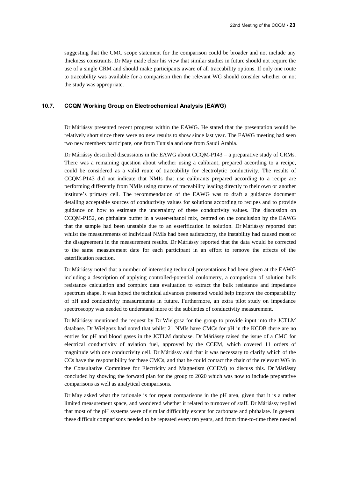suggesting that the CMC scope statement for the comparison could be broader and not include any thickness constraints. Dr May made clear his view that similar studies in future should not require the use of a single CRM and should make participants aware of all traceability options. If only one route to traceability was available for a comparison then the relevant WG should consider whether or not the study was appropriate.

# **10.7. CCQM Working Group on Electrochemical Analysis (EAWG)**

Dr Máriássy presented recent progress within the EAWG. He stated that the presentation would be relatively short since there were no new results to show since last year. The EAWG meeting had seen two new members participate, one from Tunisia and one from Saudi Arabia.

Dr Máriássy described discussions in the EAWG about CCQM-P143 – a preparative study of CRMs. There was a remaining question about whether using a calibrant, prepared according to a recipe, could be considered as a valid route of traceability for electrolytic conductivity. The results of CCQM-P143 did not indicate that NMIs that use calibrants prepared according to a recipe are performing differently from NMIs using routes of traceability leading directly to their own or another institute's primary cell. The recommendation of the EAWG was to draft a guidance document detailing acceptable sources of conductivity values for solutions according to recipes and to provide guidance on how to estimate the uncertainty of these conductivity values. The discussion on CCQM-P152, on phthalate buffer in a water/ethanol mix, centred on the conclusion by the EAWG that the sample had been unstable due to an esterification in solution. Dr Máriássy reported that whilst the measurements of individual NMIs had been satisfactory, the instability had caused most of the disagreement in the measurement results. Dr Máriássy reported that the data would be corrected to the same measurement date for each participant in an effort to remove the effects of the esterification reaction.

Dr Máriássy noted that a number of interesting technical presentations had been given at the EAWG including a description of applying controlled-potential coulometry, a comparison of solution bulk resistance calculation and complex data evaluation to extract the bulk resistance and impedance spectrum shape. It was hoped the technical advances presented would help improve the comparability of pH and conductivity measurements in future. Furthermore, an extra pilot study on impedance spectroscopy was needed to understand more of the subtleties of conductivity measurement.

Dr Máriássy mentioned the request by Dr Wielgosz for the group to provide input into the JCTLM database. Dr Wielgosz had noted that whilst 21 NMIs have CMCs for pH in the KCDB there are no entries for pH and blood gases in the JCTLM database. Dr Máriássy raised the issue of a CMC for electrical conductivity of aviation fuel, approved by the CCEM, which covered 11 orders of magnitude with one conductivity cell. Dr Máriássy said that it was necessary to clarify which of the CCs have the responsibility for these CMCs, and that he could contact the chair of the relevant WG in the Consultative Committee for Electricity and Magnetism (CCEM) to discuss this. Dr Máriássy concluded by showing the forward plan for the group to 2020 which was now to include preparative comparisons as well as analytical comparisons.

Dr May asked what the rationale is for repeat comparisons in the pH area, given that it is a rather limited measurement space, and wondered whether it related to turnover of staff. Dr Máriássy replied that most of the pH systems were of similar difficultly except for carbonate and phthalate. In general these difficult comparisons needed to be repeated every ten years, and from time-to-time there needed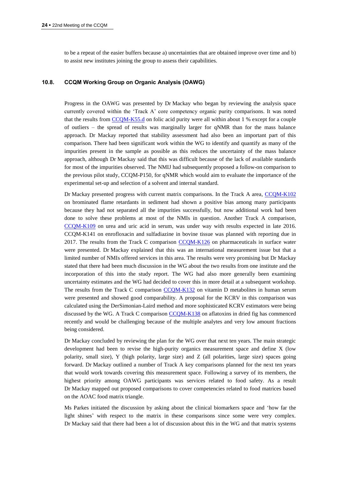to be a repeat of the easier buffers because a) uncertainties that are obtained improve over time and b) to assist new institutes joining the group to assess their capabilities.

#### **10.8. CCQM Working Group on Organic Analysis (OAWG)**

Progress in the OAWG was presented by Dr Mackay who began by reviewing the analysis space currently covered within the 'Track A' core competency organic purity comparisons. It was noted that the results from [CCQM-K55.d](http://kcdb.bipm.org/appendixB/KCDB_ApB_info.asp?cmp_idy=1359&cmp_cod=CCQM-K55.d&prov=exalead) on folic acid purity were all within about 1 % except for a couple of outliers – the spread of results was marginally larger for qNMR than for the mass balance approach. Dr Mackay reported that stability assessment had also been an important part of this comparison. There had been significant work within the WG to identify and quantify as many of the impurities present in the sample as possible as this reduces the uncertainty of the mass balance approach, although Dr Mackay said that this was difficult because of the lack of available standards for most of the impurities observed. The NMIJ had subsequently proposed a follow-on comparison to the previous pilot study, CCQM-P150, for qNMR which would aim to evaluate the importance of the experimental set-up and selection of a solvent and internal standard.

Dr Mackay presented progress with current matrix comparisons. In the Track A area, [CCQM-K102](http://kcdb.bipm.org/appendixB/KCDB_ApB_info.asp?cmp_idy=1235&cmp_cod=CCQM-K102&prov=exalead) on brominated flame retardants in sediment had shown a positive bias among many participants because they had not separated all the impurities successfully, but now additional work had been done to solve these problems at most of the NMIs in question. Another Track A comparison, [CCQM-K109](http://kcdb.bipm.org/appendixB/KCDB_ApB_info.asp?cmp_idy=1255&cmp_cod=CCQM-K109&prov=exalead) on urea and uric acid in serum, was under way with results expected in late 2016. CCQM-K141 on enrofloxacin and sulfadiazine in bovine tissue was planned with reporting due in 2017. The results from the Track C comparison [CCQM-K126](http://kcdb.bipm.org/appendixB/KCDB_ApB_info.asp?cmp_idy=1370&cmp_cod=CCQM-K126&prov=exalead) on pharmaceuticals in surface water were presented. Dr Mackay explained that this was an international measurement issue but that a limited number of NMIs offered services in this area. The results were very promising but Dr Mackay stated that there had been much discussion in the WG about the two results from one institute and the incorporation of this into the study report. The WG had also more generally been examining uncertainty estimates and the WG had decided to cover this in more detail at a subsequent workshop. The results from the Track C comparison [CCQM-K132](http://kcdb.bipm.org/appendixB/KCDB_ApB_info.asp?cmp_idy=1474&cmp_cod=CCQM-K132&prov=exalead) on vitamin D metabolites in human serum were presented and showed good comparability. A proposal for the KCRV in this comparison was calculated using the DerSimonian-Laird method and more sophisticated KCRV estimators were being discussed by the WG. A Track C comparison [CCQM-K138](http://kcdb.bipm.org/appendixB/KCDB_ApB_info.asp?cmp_idy=1517&cmp_cod=CCQM-K138&prov=exalead) on aflatoxins in dried fig has commenced recently and would be challenging because of the multiple analytes and very low amount fractions being considered.

Dr Mackay concluded by reviewing the plan for the WG over that next ten years. The main strategic development had been to revise the high-purity organics measurement space and define X (low polarity, small size), Y (high polarity, large size) and Z (all polarities, large size) spaces going forward. Dr Mackay outlined a number of Track A key comparisons planned for the next ten years that would work towards covering this measurement space. Following a survey of its members, the highest priority among OAWG participants was services related to food safety. As a result Dr Mackay mapped out proposed comparisons to cover competencies related to food matrices based on the AOAC food matrix triangle.

Ms Parkes initiated the discussion by asking about the clinical biomarkers space and 'how far the light shines' with respect to the matrix in these comparisons since some were very complex. Dr Mackay said that there had been a lot of discussion about this in the WG and that matrix systems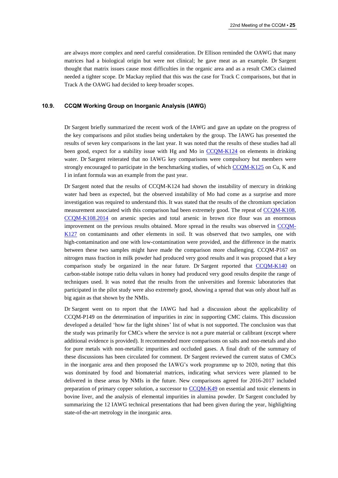are always more complex and need careful consideration. Dr Ellison reminded the OAWG that many matrices had a biological origin but were not clinical; he gave meat as an example. Dr Sargent thought that matrix issues cause most difficulties in the organic area and as a result CMCs claimed needed a tighter scope. Dr Mackay replied that this was the case for Track C comparisons, but that in Track A the OAWG had decided to keep broader scopes.

# **10.9. CCQM Working Group on Inorganic Analysis (IAWG)**

Dr Sargent briefly summarized the recent work of the IAWG and gave an update on the progress of the key comparisons and pilot studies being undertaken by the group. The IAWG has presented the results of seven key comparisons in the last year. It was noted that the results of these studies had all been good, expect for a stability issue with Hg and Mo in [CCQM-K124](http://kcdb.bipm.org/appendixB/KCDB_ApB_info.asp?cmp_idy=1368&cmp_cod=CCQM-K124&prov=exalead) on elements in drinking water. Dr Sargent reiterated that no IAWG key comparisons were compulsory but members were strongly encouraged to participate in the benchmarking studies, of which [CCQM-K125](http://kcdb.bipm.org/appendixB/KCDB_ApB_info.asp?cmp_idy=1369&cmp_cod=CCQM-K125&prov=exalead) on Cu, K and I in infant formula was an example from the past year.

Dr Sargent noted that the results of CCQM-K124 had shown the instability of mercury in drinking water had been as expected, but the observed instability of Mo had come as a surprise and more investigation was required to understand this. It was stated that the results of the chromium speciation measurement associated with this comparison had been extremely good. The repeat of [CCQM-K108,](http://kcdb.bipm.org/appendixB/KCDB_ApB_info.asp?cmp_idy=1254&cmp_cod=CCQM-K108&prov=exalead) [CCQM-K108.2014](http://kcdb.bipm.org/appendixB/KCDB_ApB_info.asp?cmp_idy=1514&cmp_cod=CCQM-K108.2014&prov=exalead) on arsenic species and total arsenic in brown rice flour was an enormous improvement on the previous results obtained. More spread in the results was observed in [CCQM-](http://kcdb.bipm.org/appendixB/KCDB_ApB_info.asp?cmp_idy=1416&cmp_cod=CCQM-K127&prov=exalead)[K127](http://kcdb.bipm.org/appendixB/KCDB_ApB_info.asp?cmp_idy=1416&cmp_cod=CCQM-K127&prov=exalead) on contaminants and other elements in soil. It was observed that two samples, one with high-contamination and one with low-contamination were provided, and the difference in the matrix between these two samples might have made the comparison more challenging. CCQM-P167 on nitrogen mass fraction in milk powder had produced very good results and it was proposed that a key comparison study be organized in the near future. Dr Sargent reported that [CCQM-K140](http://kcdb.bipm.org/appendixB/KCDB_ApB_info.asp?cmp_idy=1518&cmp_cod=CCQM-K140&prov=exalead) on carbon-stable isotope ratio delta values in honey had produced very good results despite the range of techniques used. It was noted that the results from the universities and forensic laboratories that participated in the pilot study were also extremely good, showing a spread that was only about half as big again as that shown by the NMIs.

Dr Sargent went on to report that the IAWG had had a discussion about the applicability of CCQM-P149 on the determination of impurities in zinc in supporting CMC claims. This discussion developed a detailed 'how far the light shines' list of what is not supported. The conclusion was that the study was primarily for CMCs where the service is not a pure material or calibrant (except where additional evidence is provided). It recommended more comparisons on salts and non-metals and also for pure metals with non-metallic impurities and occluded gases. A final draft of the summary of these discussions has been circulated for comment. Dr Sargent reviewed the current status of CMCs in the inorganic area and then proposed the IAWG's work programme up to 2020, noting that this was dominated by food and biomaterial matrices, indicating what services were planned to be delivered in these areas by NMIs in the future. New comparisons agreed for 2016-2017 included preparation of primary copper solution, a successor to [CCQM-K49](http://kcdb.bipm.org/appendixB/KCDB_ApB_info.asp?cmp_idy=728&cmp_cod=CCQM-K49&prov=exalead) on essential and toxic elements in bovine liver, and the analysis of elemental impurities in alumina powder. Dr Sargent concluded by summarizing the 12 IAWG technical presentations that had been given during the year, highlighting state-of-the-art metrology in the inorganic area.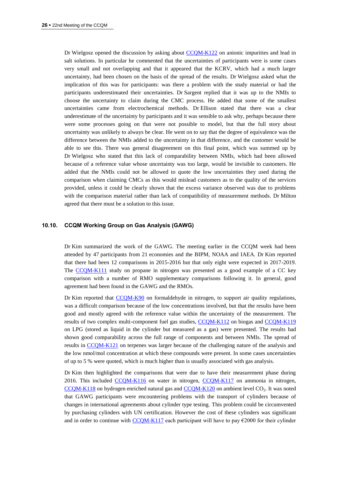Dr Wielgosz opened the discussion by asking about [CCQM-K122](http://kcdb.bipm.org/appendixB/KCDB_ApB_info.asp?cmp_idy=1366&cmp_cod=CCQM-K122&prov=exalead) on anionic impurities and lead in salt solutions. In particular he commented that the uncertainties of participants were is some cases very small and not overlapping and that it appeared that the KCRV, which had a much larger uncertainty, had been chosen on the basis of the spread of the results. Dr Wielgosz asked what the implication of this was for participants: was there a problem with the study material or had the participants underestimated their uncertainties. Dr Sargent replied that it was up to the NMIs to choose the uncertainty to claim during the CMC process. He added that some of the smallest uncertainties came from electrochemical methods. Dr Ellison stated that there was a clear underestimate of the uncertainty by participants and it was sensible to ask why, perhaps because there were some processes going on that were not possible to model, but that the full story about uncertainty was unlikely to always be clear. He went on to say that the degree of equivalence was the difference between the NMIs added to the uncertainty in that difference, and the customer would be able to see this. There was general disagreement on this final point, which was summed up by Dr Wielgosz who stated that this lack of comparability between NMIs, which had been allowed because of a reference value whose uncertainty was too large, would be invisible to customers. He added that the NMIs could not be allowed to quote the low uncertainties they used during the comparison when claiming CMCs as this would mislead customers as to the quality of the services provided, unless it could be clearly shown that the excess variance observed was due to problems with the comparison material rather than lack of compatibility of measurement methods. Dr Milton agreed that there must be a solution to this issue.

#### **10.10. CCQM Working Group on Gas Analysis (GAWG)**

Dr Kim summarized the work of the GAWG. The meeting earlier in the CCQM week had been attended by 47 participants from 21 economies and the BIPM, NOAA and IAEA. Dr Kim reported that there had been 12 comparisons in 2015-2016 but that only eight were expected in 2017-2019. The [CCQM-K111](http://kcdb.bipm.org/appendixB/KCDB_ApB_info.asp?cmp_idy=1335&cmp_cod=CCQM-K111&prov=exalead) study on propane in nitrogen was presented as a good example of a CC key comparison with a number of RMO supplementary comparisons following it. In general, good agreement had been found in the GAWG and the RMOs.

Dr Kim reported that [CCQM-K90](http://kcdb.bipm.org/appendixB/KCDB_ApB_info.asp?cmp_idy=1095&cmp_cod=CCQM-K90&prov=exalead) on formaldehyde in nitrogen, to support air quality regulations, was a difficult comparison because of the low concentrations involved, but that the results have been good and mostly agreed with the reference value within the uncertainty of the measurement. The results of two complex multi-component fuel gas studies, [CCQM-K112](http://kcdb.bipm.org/appendixB/KCDB_ApB_info.asp?cmp_idy=1336&cmp_cod=CCQM-K112&prov=exalead) on biogas and [CCQM-K119](http://kcdb.bipm.org/appendixB/KCDB_ApB_info.asp?cmp_idy=1363&cmp_cod=CCQM-K119&prov=exalead) on LPG (stored as liquid in the cylinder but measured as a gas) were presented. The results had shown good comparability across the full range of components and between NMIs. The spread of results in [CCQM-K121](http://kcdb.bipm.org/appendixB/KCDB_ApB_info.asp?cmp_idy=1365&cmp_cod=CCQM-K121&prov=exalead) on terpenes was larger because of the challenging nature of the analysis and the low nmol/mol concentration at which these compounds were present. In some cases uncertainties of up to 5 % were quoted, which is much higher than is usually associated with gas analysis.

Dr Kim then highlighted the comparisons that were due to have their measurement phase during 2016. This included [CCQM-K116](http://kcdb.bipm.org/appendixB/KCDB_ApB_info.asp?cmp_idy=1353&cmp_cod=CCQM-K116&prov=exalead) on water in nitrogen, [CCQM-K117](http://kcdb.bipm.org/appendixB/KCDB_ApB_info.asp?cmp_idy=1361&cmp_cod=CCQM-K117&prov=exalead) on ammonia in nitrogen,  $CCOM-K118$  on hydrogen enriched natural gas and  $CCOM-K120$  on ambient level  $CO<sub>2</sub>$ . It was noted that GAWG participants were encountering problems with the transport of cylinders because of changes in international agreements about cylinder type testing. This problem could be circumvented by purchasing cylinders with UN certification. However the cost of these cylinders was significant and in order to continue with [CCQM-K117](http://kcdb.bipm.org/appendixB/KCDB_ApB_info.asp?cmp_idy=1361&cmp_cod=CCQM-K117&prov=exalead) each participant will have to pay  $\epsilon$ 2000 for their cylinder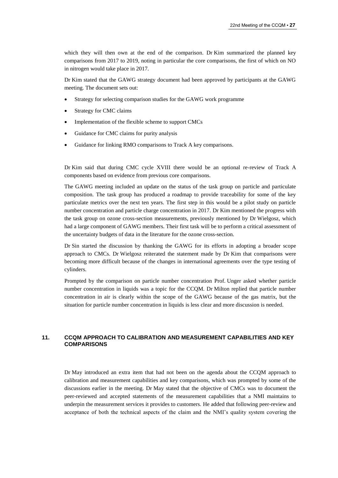which they will then own at the end of the comparison. Dr Kim summarized the planned key comparisons from 2017 to 2019, noting in particular the core comparisons, the first of which on NO in nitrogen would take place in 2017.

Dr Kim stated that the GAWG strategy document had been approved by participants at the GAWG meeting. The document sets out:

- Strategy for selecting comparison studies for the GAWG work programme
- Strategy for CMC claims
- Implementation of the flexible scheme to support CMCs
- Guidance for CMC claims for purity analysis
- Guidance for linking RMO comparisons to Track A key comparisons.

Dr Kim said that during CMC cycle XVIII there would be an optional re-review of Track A components based on evidence from previous core comparisons.

The GAWG meeting included an update on the status of the task group on particle and particulate composition. The task group has produced a roadmap to provide traceability for some of the key particulate metrics over the next ten years. The first step in this would be a pilot study on particle number concentration and particle charge concentration in 2017. Dr Kim mentioned the progress with the task group on ozone cross-section measurements, previously mentioned by Dr Wielgosz, which had a large component of GAWG members. Their first task will be to perform a critical assessment of the uncertainty budgets of data in the literature for the ozone cross-section.

Dr Sin started the discussion by thanking the GAWG for its efforts in adopting a broader scope approach to CMCs. Dr Wielgosz reiterated the statement made by Dr Kim that comparisons were becoming more difficult because of the changes in international agreements over the type testing of cylinders.

Prompted by the comparison on particle number concentration Prof. Unger asked whether particle number concentration in liquids was a topic for the CCQM. Dr Milton replied that particle number concentration in air is clearly within the scope of the GAWG because of the gas matrix, but the situation for particle number concentration in liquids is less clear and more discussion is needed.

# **11. CCQM APPROACH TO CALIBRATION AND MEASUREMENT CAPABILITIES AND KEY COMPARISONS**

Dr May introduced an extra item that had not been on the agenda about the CCQM approach to calibration and measurement capabilities and key comparisons, which was prompted by some of the discussions earlier in the meeting. Dr May stated that the objective of CMCs was to document the peer-reviewed and accepted statements of the measurement capabilities that a NMI maintains to underpin the measurement services it provides to customers. He added that following peer-review and acceptance of both the technical aspects of the claim and the NMI's quality system covering the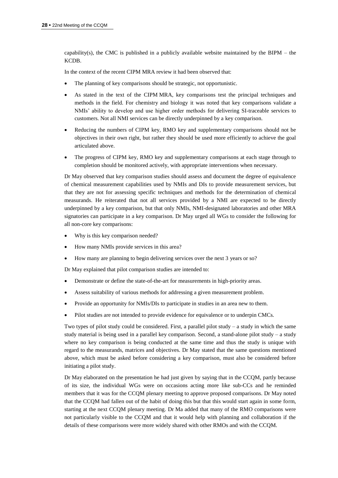capability(s), the CMC is published in a publicly available website maintained by the BIPM – the KCDB.

In the context of the recent CIPM MRA review it had been observed that:

- The planning of key comparisons should be strategic, not opportunistic.
- As stated in the text of the CIPM MRA, key comparisons test the principal techniques and methods in the field. For chemistry and biology it was noted that key comparisons validate a NMIs' ability to develop and use higher order methods for delivering SI-traceable services to customers. Not all NMI services can be directly underpinned by a key comparison.
- Reducing the numbers of CIPM key, RMO key and supplementary comparisons should not be objectives in their own right, but rather they should be used more efficiently to achieve the goal articulated above.
- The progress of CIPM key, RMO key and supplementary comparisons at each stage through to completion should be monitored actively, with appropriate interventions when necessary.

Dr May observed that key comparison studies should assess and document the degree of equivalence of chemical measurement capabilities used by NMIs and DIs to provide measurement services, but that they are not for assessing specific techniques and methods for the determination of chemical measurands. He reiterated that not all services provided by a NMI are expected to be directly underpinned by a key comparison, but that only NMIs, NMI-designated laboratories and other MRA signatories can participate in a key comparison. Dr May urged all WGs to consider the following for all non-core key comparisons:

- Why is this key comparison needed?
- How many NMIs provide services in this area?
- How many are planning to begin delivering services over the next 3 years or so?

Dr May explained that pilot comparison studies are intended to:

- Demonstrate or define the state-of-the-art for measurements in high-priority areas.
- Assess suitability of various methods for addressing a given measurement problem.
- Provide an opportunity for NMIs/DIs to participate in studies in an area new to them.
- Pilot studies are not intended to provide evidence for equivalence or to underpin CMCs.

Two types of pilot study could be considered. First, a parallel pilot study – a study in which the same study material is being used in a parallel key comparison. Second, a stand-alone pilot study – a study where no key comparison is being conducted at the same time and thus the study is unique with regard to the measurands, matrices and objectives. Dr May stated that the same questions mentioned above, which must be asked before considering a key comparison, must also be considered before initiating a pilot study.

Dr May elaborated on the presentation he had just given by saying that in the CCQM, partly because of its size, the individual WGs were on occasions acting more like sub-CCs and he reminded members that it was for the CCQM plenary meeting to approve proposed comparisons. Dr May noted that the CCQM had fallen out of the habit of doing this but that this would start again in some form, starting at the next CCQM plenary meeting. Dr Ma added that many of the RMO comparisons were not particularly visible to the CCQM and that it would help with planning and collaboration if the details of these comparisons were more widely shared with other RMOs and with the CCQM.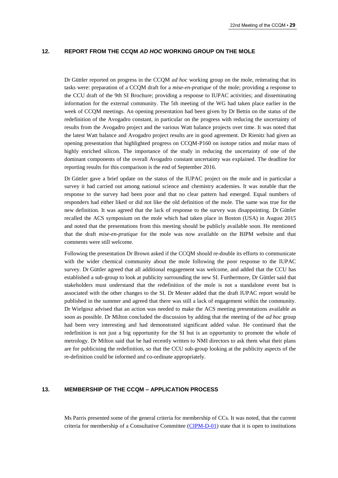#### **12. REPORT FROM THE CCQM** *AD HOC* **WORKING GROUP ON THE MOLE**

Dr Güttler reported on progress in the CCQM *ad hoc* working group on the mole, reiterating that its tasks were: preparation of a CCQM draft for a *mise-en-pratique* of the mole; providing a response to the CCU draft of the 9th SI Brochure; providing a response to IUPAC activities; and disseminating information for the external community. The 5th meeting of the WG had taken place earlier in the week of CCQM meetings. An opening presentation had been given by Dr Bettin on the status of the redefinition of the Avogadro constant, in particular on the progress with reducing the uncertainty of results from the Avogadro project and the various Watt balance projects over time. It was noted that the latest Watt balance and Avogadro project results are in good agreement. Dr Rienitz had given an opening presentation that highlighted progress on CCQM-P160 on isotope ratios and molar mass of highly enriched silicon. The importance of the study in reducing the uncertainty of one of the dominant components of the overall Avogadro constant uncertainty was explained. The deadline for reporting results for this comparison is the end of September 2016.

Dr Güttler gave a brief update on the status of the IUPAC project on the mole and in particular a survey it had carried out among national science and chemistry academies. It was notable that the response to the survey had been poor and that no clear pattern had emerged. Equal numbers of responders had either liked or did not like the old definition of the mole. The same was true for the new definition. It was agreed that the lack of response to the survey was disappointing. Dr Güttler recalled the ACS symposium on the mole which had taken place in Boston (USA) in August 2015 and noted that the presentations from this meeting should be publicly available soon. He mentioned that the draft *mise-en-pratique* for the mole was now available on the BIPM website and that comments were still welcome.

Following the presentation Dr Brown asked if the CCQM should re-double its efforts to communicate with the wider chemical community about the mole following the poor response to the IUPAC survey. Dr Güttler agreed that all additional engagement was welcome, and added that the CCU has established a sub-group to look at publicity surrounding the new SI. Furthermore, Dr Güttler said that stakeholders must understand that the redefinition of the mole is not a standalone event but is associated with the other changes to the SI. Dr Mester added that the draft IUPAC report would be published in the summer and agreed that there was still a lack of engagement within the community. Dr Wielgosz advised that an action was needed to make the ACS meeting presentations available as soon as possible. Dr Milton concluded the discussion by adding that the meeting of the *ad hoc* group had been very interesting and had demonstrated significant added value. He continued that the redefinition is not just a big opportunity for the SI but is an opportunity to promote the whole of metrology. Dr Milton said that he had recently written to NMI directors to ask them what their plans are for publicising the redefinition, so that the CCU sub-group looking at the publicity aspects of the re-definition could be informed and co-ordinate appropriately.

# **13. MEMBERSHIP OF THE CCQM – APPLICATION PROCESS**

Ms Parris presented some of the general criteria for membership of CCs. It was noted, that the current criteria for membership of a Consultative Committee [\(CIPM-D-01\)](https://www.bipm.org/en/about-us/governance/cc-gov/cc_and_wg_rules.html) state that it is open to institutions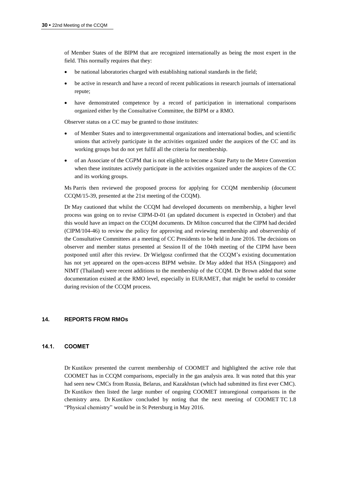of Member States of the BIPM that are recognized internationally as being the most expert in the field. This normally requires that they:

- be national laboratories charged with establishing national standards in the field;
- be active in research and have a record of recent publications in research journals of international repute;
- have demonstrated competence by a record of participation in international comparisons organized either by the Consultative Committee, the BIPM or a RMO.

Observer status on a CC may be granted to those institutes:

- of Member States and to intergovernmental organizations and international bodies, and scientific unions that actively participate in the activities organized under the auspices of the CC and its working groups but do not yet fulfil all the criteria for membership.
- of an Associate of the CGPM that is not eligible to become a State Party to the Metre Convention when these institutes actively participate in the activities organized under the auspices of the CC and its working groups.

Ms Parris then reviewed the proposed process for applying for CCQM membership (document CCQM/15-39, presented at the 21st meeting of the CCQM).

Dr May cautioned that whilst the CCQM had developed documents on membership, a higher level process was going on to revise CIPM-D-01 (an updated document is expected in October) and that this would have an impact on the CCQM documents. Dr Milton concurred that the CIPM had decided (CIPM/104-46) to review the policy for approving and reviewing membership and observership of the Consultative Committees at a meeting of CC Presidents to be held in June 2016. The decisions on observer and member status presented at Session II of the 104th meeting of the CIPM have been postponed until after this review. Dr Wielgosz confirmed that the CCQM's existing documentation has not yet appeared on the open-access BIPM website. Dr May added that HSA (Singapore) and NIMT (Thailand) were recent additions to the membership of the CCQM. Dr Brown added that some documentation existed at the RMO level, especially in EURAMET, that might be useful to consider during revision of the CCQM process.

# **14. REPORTS FROM RMOs**

# **14.1. COOMET**

Dr Kustikov presented the current membership of COOMET and highlighted the active role that COOMET has in CCQM comparisons, especially in the gas analysis area. It was noted that this year had seen new CMCs from Russia, Belarus, and Kazakhstan (which had submitted its first ever CMC). Dr Kustikov then listed the large number of ongoing COOMET intraregional comparisons in the chemistry area. Dr Kustikov concluded by noting that the next meeting of COOMET TC 1.8 "Physical chemistry" would be in St Petersburg in May 2016.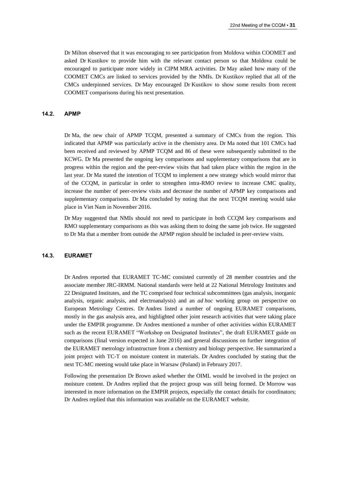Dr Milton observed that it was encouraging to see participation from Moldova within COOMET and asked Dr Kustikov to provide him with the relevant contact person so that Moldova could be encouraged to participate more widely in CIPM MRA activities. Dr May asked how many of the COOMET CMCs are linked to services provided by the NMIs. Dr Kustikov replied that all of the CMCs underpinned services. Dr May encouraged Dr Kustikov to show some results from recent COOMET comparisons during his next presentation.

#### **14.2. APMP**

Dr Ma, the new chair of APMP TCQM, presented a summary of CMCs from the region. This indicated that APMP was particularly active in the chemistry area. Dr Ma noted that 101 CMCs had been received and reviewed by APMP TCQM and 86 of these were subsequently submitted to the KCWG. Dr Ma presented the ongoing key comparisons and supplementary comparisons that are in progress within the region and the peer-review visits that had taken place within the region in the last year. Dr Ma stated the intention of TCQM to implement a new strategy which would mirror that of the CCQM, in particular in order to strengthen intra-RMO review to increase CMC quality, increase the number of peer-review visits and decrease the number of APMP key comparisons and supplementary comparisons. Dr Ma concluded by noting that the next TCQM meeting would take place in Viet Nam in November 2016.

Dr May suggested that NMIs should not need to participate in both CCQM key comparisons and RMO supplementary comparisons as this was asking them to doing the same job twice. He suggested to Dr Ma that a member from outside the APMP region should be included in peer-review visits.

#### **14.3. EURAMET**

Dr Andres reported that EURAMET TC-MC consisted currently of 28 member countries and the associate member JRC-IRMM. National standards were held at 22 National Metrology Institutes and 22 Designated Institutes, and the TC comprised four technical subcommittees (gas analysis, inorganic analysis, organic analysis, and electroanalysis) and an *ad hoc* working group on perspective on European Metrology Centres. Dr Andres listed a number of ongoing EURAMET comparisons, mostly in the gas analysis area, and highlighted other joint research activities that were taking place under the EMPIR programme. Dr Andres mentioned a number of other activities within EURAMET such as the recent EURAMET "Workshop on Designated Institutes", the draft EURAMET guide on comparisons (final version expected in June 2016) and general discussions on further integration of the EURAMET metrology infrastructure from a chemistry and biology perspective. He summarized a joint project with TC-T on moisture content in materials. Dr Andres concluded by stating that the next TC-MC meeting would take place in Warsaw (Poland) in February 2017.

Following the presentation Dr Brown asked whether the OIML would be involved in the project on moisture content. Dr Andres replied that the project group was still being formed. Dr Morrow was interested in more information on the EMPIR projects, especially the contact details for coordinators; Dr Andres replied that this information was available on the EURAMET website.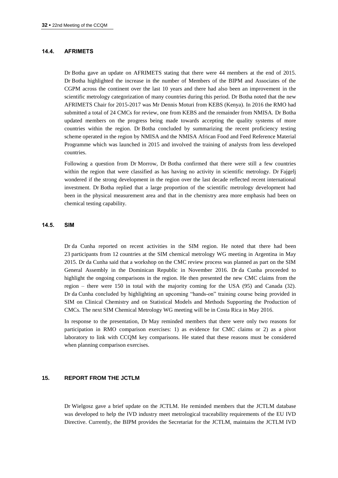#### **14.4. AFRIMETS**

Dr Botha gave an update on AFRIMETS stating that there were 44 members at the end of 2015. Dr Botha highlighted the increase in the number of Members of the BIPM and Associates of the CGPM across the continent over the last 10 years and there had also been an improvement in the scientific metrology categorization of many countries during this period. Dr Botha noted that the new AFRIMETS Chair for 2015-2017 was Mr Dennis Moturi from KEBS (Kenya). In 2016 the RMO had submitted a total of 24 CMCs for review, one from KEBS and the remainder from NMISA. Dr Botha updated members on the progress being made towards accepting the quality systems of more countries within the region. Dr Botha concluded by summarizing the recent proficiency testing scheme operated in the region by NMISA and the NMISA African Food and Feed Reference Material Programme which was launched in 2015 and involved the training of analysts from less developed countries.

Following a question from Dr Morrow, Dr Botha confirmed that there were still a few countries within the region that were classified as has having no activity in scientific metrology. Dr Fajgelj wondered if the strong development in the region over the last decade reflected recent international investment. Dr Botha replied that a large proportion of the scientific metrology development had been in the physical measurement area and that in the chemistry area more emphasis had been on chemical testing capability.

#### **14.5. SIM**

Dr da Cunha reported on recent activities in the SIM region. He noted that there had been 23 participants from 12 countries at the SIM chemical metrology WG meeting in Argentina in May 2015. Dr da Cunha said that a workshop on the CMC review process was planned as part on the SIM General Assembly in the Dominican Republic in November 2016. Dr da Cunha proceeded to highlight the ongoing comparisons in the region. He then presented the new CMC claims from the region – there were 150 in total with the majority coming for the USA (95) and Canada (32). Dr da Cunha concluded by highlighting an upcoming "hands-on" training course being provided in SIM on Clinical Chemistry and on Statistical Models and Methods Supporting the Production of CMCs. The next SIM Chemical Metrology WG meeting will be in Costa Rica in May 2016.

In response to the presentation, Dr May reminded members that there were only two reasons for participation in RMO comparison exercises: 1) as evidence for CMC claims or 2) as a pivot laboratory to link with CCQM key comparisons. He stated that these reasons must be considered when planning comparison exercises.

#### **15. REPORT FROM THE JCTLM**

Dr Wielgosz gave a brief update on the JCTLM. He reminded members that the JCTLM database was developed to help the IVD industry meet metrological traceability requirements of the EU IVD Directive. Currently, the BIPM provides the Secretariat for the JCTLM, maintains the JCTLM IVD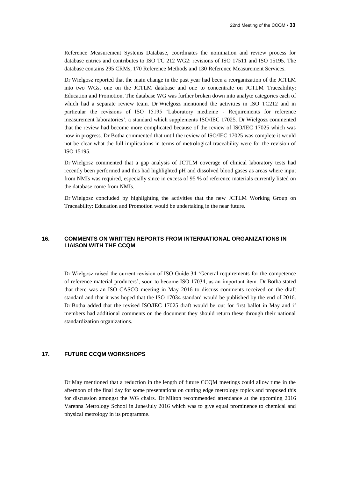Reference Measurement Systems Database, coordinates the nomination and review process for database entries and contributes to ISO TC 212 WG2: revisions of ISO 17511 and ISO 15195. The database contains 295 CRMs, 170 Reference Methods and 130 Reference Measurement Services.

Dr Wielgosz reported that the main change in the past year had been a reorganization of the JCTLM into two WGs, one on the JCTLM database and one to concentrate on JCTLM Traceability: Education and Promotion. The database WG was further broken down into analyte categories each of which had a separate review team. Dr Wielgosz mentioned the activities in ISO TC212 and in particular the revisions of ISO 15195 'Laboratory medicine - Requirements for reference measurement laboratories', a standard which supplements ISO/IEC 17025. Dr Wielgosz commented that the review had become more complicated because of the review of ISO/IEC 17025 which was now in progress. Dr Botha commented that until the review of ISO/IEC 17025 was complete it would not be clear what the full implications in terms of metrological traceability were for the revision of ISO 15195.

Dr Wielgosz commented that a gap analysis of JCTLM coverage of clinical laboratory tests had recently been performed and this had highlighted pH and dissolved blood gases as areas where input from NMIs was required, especially since in excess of 95 % of reference materials currently listed on the database come from NMIs.

Dr Wielgosz concluded by highlighting the activities that the new JCTLM Working Group on Traceability: Education and Promotion would be undertaking in the near future.

# **16. COMMENTS ON WRITTEN REPORTS FROM INTERNATIONAL ORGANIZATIONS IN LIAISON WITH THE CCQM**

Dr Wielgosz raised the current revision of ISO Guide 34 'General requirements for the competence of reference material producers', soon to become ISO 17034, as an important item. Dr Botha stated that there was an ISO CASCO meeting in May 2016 to discuss comments received on the draft standard and that it was hoped that the ISO 17034 standard would be published by the end of 2016. Dr Botha added that the revised ISO/IEC 17025 draft would be out for first ballot in May and if members had additional comments on the document they should return these through their national standardization organizations.

#### **17. FUTURE CCQM WORKSHOPS**

Dr May mentioned that a reduction in the length of future CCQM meetings could allow time in the afternoon of the final day for some presentations on cutting edge metrology topics and proposed this for discussion amongst the WG chairs. Dr Milton recommended attendance at the upcoming 2016 Varenna Metrology School in June/July 2016 which was to give equal prominence to chemical and physical metrology in its programme.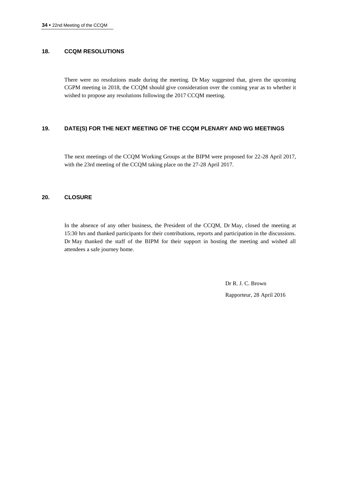# **18. CCQM RESOLUTIONS**

There were no resolutions made during the meeting. Dr May suggested that, given the upcoming CGPM meeting in 2018, the CCQM should give consideration over the coming year as to whether it wished to propose any resolutions following the 2017 CCQM meeting.

# **19. DATE(S) FOR THE NEXT MEETING OF THE CCQM PLENARY AND WG MEETINGS**

The next meetings of the CCQM Working Groups at the BIPM were proposed for 22-28 April 2017, with the 23rd meeting of the CCQM taking place on the 27-28 April 2017.

#### **20. CLOSURE**

In the absence of any other business, the President of the CCQM, Dr May, closed the meeting at 15:30 hrs and thanked participants for their contributions, reports and participation in the discussions. Dr May thanked the staff of the BIPM for their support in hosting the meeting and wished all attendees a safe journey home.

> Dr R. J. C. Brown Rapporteur, 28 April 2016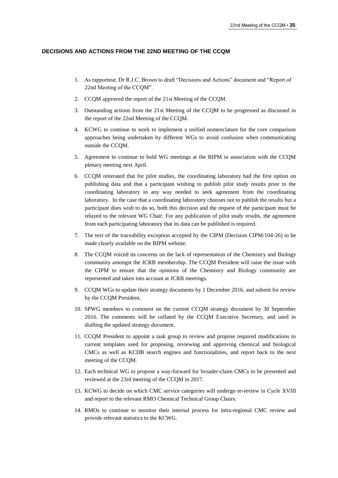#### **DECISIONS AND ACTIONS FROM THE 22ND MEETING OF THE CCQM**

- 1. As rapporteur, Dr R.J.C. Brown to draft "Decisions and Actions" document and "Report of 22nd Meeting of the CCQM".
- 2. CCQM approved the report of the 21st Meeting of the CCQM.
- 3. Outstanding actions from the 21st Meeting of the CCQM to be progressed as discussed in the report of the 22nd Meeting of the CCQM.
- 4. KCWG to continue to work to implement a unified nomenclature for the core comparison approaches being undertaken by different WGs to avoid confusion when communicating outside the CCQM.
- 5. Agreement to continue to hold WG meetings at the BIPM in association with the CCQM plenary meeting next April.
- 6. CCQM reiterated that for pilot studies, the coordinating laboratory had the first option on publishing data and that a participant wishing to publish pilot study results prior to the coordinating laboratory in any way needed to seek agreement from the coordinating laboratory. In the case that a coordinating laboratory chooses not to publish the results but a participant does wish to do so, both this decision and the request of the participant must be relayed to the relevant WG Chair. For any publication of pilot study results, the agreement from each participating laboratory that its data can be published is required.
- 7. The text of the traceability exception accepted by the CIPM (Decision CIPM/104-26) to be made clearly available on the BIPM website.
- 8. The CCQM voiced its concerns on the lack of representation of the Chemistry and Biology community amongst the JCRB membership. The CCQM President will raise the issue with the CIPM to ensure that the opinions of the Chemistry and Biology community are represented and taken into account at JCRB meetings.
- 9. CCQM WGs to update their strategy documents by 1 December 2016, and submit for review by the CCQM President.
- 10. SPWG members to comment on the current CCQM strategy document by 30 September 2016. The comments will be collated by the CCQM Executive Secretary, and used in drafting the updated strategy document.
- 11. CCQM President to appoint a task group to review and propose required modifications to current templates used for proposing, reviewing and approving chemical and biological CMCs as well as KCDB search engines and functionalities, and report back to the next meeting of the CCQM.
- 12. Each technical WG to propose a way**-**forward for broader-claim CMCs to be presented and reviewed at the 23rd meeting of the CCQM in 2017.
- 13. KCWG to decide on which CMC service categories will undergo re-review in Cycle XVIII and report to the relevant RMO Chemical Technical Group Chairs.
- 14. RMOs to continue to monitor their internal process for intra-regional CMC review and provide relevant statistics to the KCWG.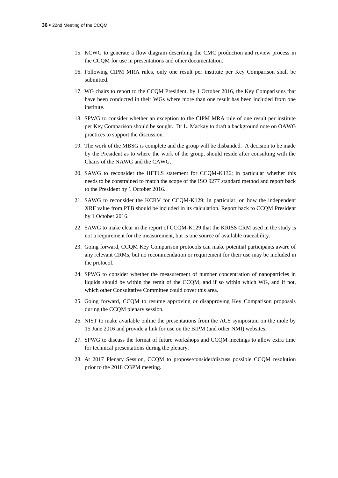- 15. KCWG to generate a flow diagram describing the CMC production and review process in the CCQM for use in presentations and other documentation.
- 16. Following CIPM MRA rules, only one result per institute per Key Comparison shall be submitted.
- 17. WG chairs to report to the CCQM President, by 1 October 2016, the Key Comparisons that have been conducted in their WGs where more than one result has been included from one institute.
- 18. SPWG to consider whether an exception to the CIPM MRA rule of one result per institute per Key Comparison should be sought. Dr L. Mackay to draft a background note on OAWG practices to support the discussion.
- 19. The work of the MBSG is complete and the group will be disbanded. A decision to be made by the President as to where the work of the group, should reside after consulting with the Chairs of the NAWG and the CAWG.
- 20. SAWG to reconsider the HFTLS statement for CCQM-K136; in particular whether this needs to be constrained to match the scope of the ISO 9277 standard method and report back to the President by 1 October 2016.
- 21. SAWG to reconsider the KCRV for CCQM-K129; in particular, on how the independent XRF value from PTB should be included in its calculation. Report back to CCQM President by 1 October 2016.
- 22. SAWG to make clear in the report of CCQM-K129 that the KRISS CRM used in the study is not a requirement for the measurement, but is one source of available traceability.
- 23. Going forward, CCQM Key Comparison protocols can make potential participants aware of any relevant CRMs, but no recommendation or requirement for their use may be included in the protocol.
- 24. SPWG to consider whether the measurement of number concentration of nanoparticles in liquids should be within the remit of the CCQM, and if so within which WG, and if not, which other Consultative Committee could cover this area.
- 25. Going forward, CCQM to resume approving or disapproving Key Comparison proposals during the CCQM plenary session.
- 26. NIST to make available online the presentations from the ACS symposium on the mole by 15 June 2016 and provide a link for use on the BIPM (and other NMI) websites.
- 27. SPWG to discuss the format of future workshops and CCQM meetings to allow extra time for technical presentations during the plenary.
- 28. At 2017 Plenary Session, CCQM to propose/consider/discuss possible CCQM resolution prior to the 2018 CGPM meeting.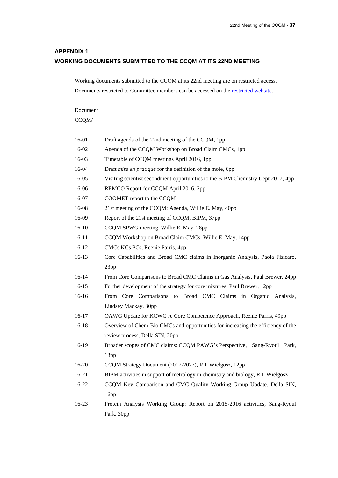# **APPENDIX 1 WORKING DOCUMENTS SUBMITTED TO THE CCQM AT ITS 22ND MEETING**

Working documents submitted to the CCQM at its 22nd meeting are on restricted access. Documents restricted to Committee members can be accessed on the [restricted website.](https://www.bipm.org/cc/CCQM/Restricted/WorkingDocuments.jsp)

Document CCQM/

| 16-01     | Draft agenda of the 22nd meeting of the CCQM, 1pp                                |
|-----------|----------------------------------------------------------------------------------|
| 16-02     | Agenda of the CCQM Workshop on Broad Claim CMCs, 1pp                             |
| 16-03     | Timetable of CCQM meetings April 2016, 1pp                                       |
| 16-04     | Draft mise en pratique for the definition of the mole, 6pp                       |
| 16-05     | Visiting scientist secondment opportunities to the BIPM Chemistry Dept 2017, 4pp |
| 16-06     | REMCO Report for CCQM April 2016, 2pp                                            |
| 16-07     | COOMET report to the CCQM                                                        |
| 16-08     | 21st meeting of the CCQM: Agenda, Willie E. May, 40pp                            |
| 16-09     | Report of the 21st meeting of CCQM, BIPM, 37pp                                   |
| $16-10$   | CCQM SPWG meeting, Willie E. May, 28pp                                           |
| $16 - 11$ | CCQM Workshop on Broad Claim CMCs, Willie E. May, 14pp                           |
| 16-12     | CMCs KCs PCs, Reenie Parris, 4pp                                                 |
| 16-13     | Core Capabilities and Broad CMC claims in Inorganic Analysis, Paola Fisicaro,    |
|           | 23pp                                                                             |
| 16-14     | From Core Comparisons to Broad CMC Claims in Gas Analysis, Paul Brewer, 24pp     |
| $16 - 15$ | Further development of the strategy for core mixtures, Paul Brewer, 12pp         |
| $16-16$   | From Core Comparisons to Broad CMC Claims in Organic Analysis,                   |
|           | Lindsey Mackay, 30pp                                                             |
| $16-17$   | OAWG Update for KCWG re Core Competence Approach, Reenie Parris, 49pp            |
| 16-18     | Overview of Chem-Bio CMCs and opportunities for increasing the efficiency of the |
|           | review process, Della SIN, 20pp                                                  |
| 16-19     | Broader scopes of CMC claims: CCQM PAWG's Perspective, Sang-Ryoul Park,          |
|           | 13pp                                                                             |
| 16-20     | CCQM Strategy Document (2017-2027), R.I. Wielgosz, 12pp                          |
| 16-21     | BIPM activities in support of metrology in chemistry and biology, R.I. Wielgosz  |
| 16-22     | CCQM Key Comparison and CMC Quality Working Group Update, Della SIN,             |
|           | 16pp                                                                             |
| 16-23     | Protein Analysis Working Group: Report on 2015-2016 activities, Sang-Ryoul       |
|           | Park, 30pp                                                                       |